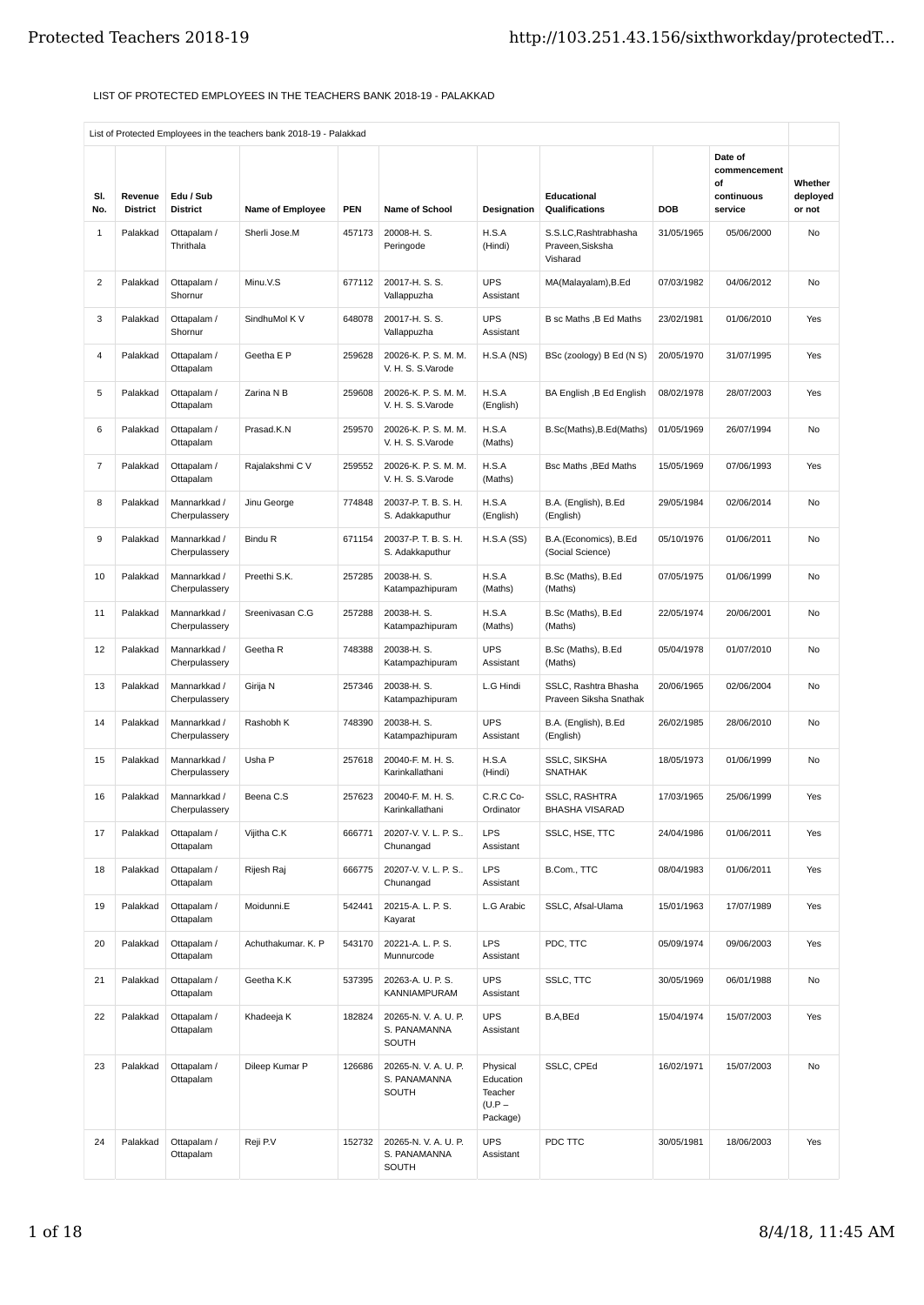## LIST OF PROTECTED EMPLOYEES IN THE TEACHERS BANK 2018-19 - PALAKKAD

|                |                            |                               | List of Protected Employees in the teachers bank 2018-19 - Palakkad |            |                                                  |                                                          |                                                       |            |                                                        |                               |
|----------------|----------------------------|-------------------------------|---------------------------------------------------------------------|------------|--------------------------------------------------|----------------------------------------------------------|-------------------------------------------------------|------------|--------------------------------------------------------|-------------------------------|
| SI.<br>No.     | Revenue<br><b>District</b> | Edu / Sub<br><b>District</b>  | Name of Employee                                                    | <b>PEN</b> | <b>Name of School</b>                            | Designation                                              | Educational<br>Qualifications                         | <b>DOB</b> | Date of<br>commencement<br>of<br>continuous<br>service | Whether<br>deployed<br>or not |
| $1\,$          | Palakkad                   | Ottapalam /<br>Thrithala      | Sherli Jose.M                                                       | 457173     | 20008-H.S.<br>Peringode                          | H.S.A<br>(Hindi)                                         | S.S.LC, Rashtrabhasha<br>Praveen, Sisksha<br>Visharad | 31/05/1965 | 05/06/2000                                             | No                            |
| 2              | Palakkad                   | Ottapalam /<br>Shornur        | Minu.V.S                                                            | 677112     | 20017-H.S.S.<br>Vallappuzha                      | <b>UPS</b><br>Assistant                                  | MA(Malayalam), B.Ed                                   | 07/03/1982 | 04/06/2012                                             | No                            |
| 3              | Palakkad                   | Ottapalam /<br>Shornur        | SindhuMol K V                                                       | 648078     | 20017-H.S.S.<br>Vallappuzha                      | <b>UPS</b><br>Assistant                                  | B sc Maths , B Ed Maths                               | 23/02/1981 | 01/06/2010                                             | Yes                           |
| 4              | Palakkad                   | Ottapalam /<br>Ottapalam      | Geetha E P                                                          | 259628     | 20026-K. P. S. M. M.<br>V. H. S. S. Varode       | H.S.A(NS)                                                | BSc (zoology) B Ed (N S)                              | 20/05/1970 | 31/07/1995                                             | Yes                           |
| 5              | Palakkad                   | Ottapalam /<br>Ottapalam      | Zarina N B                                                          | 259608     | 20026-K. P. S. M. M.<br>V. H. S. S. Varode       | H.S.A<br>(English)                                       | BA English , B Ed English                             | 08/02/1978 | 28/07/2003                                             | Yes                           |
| 6              | Palakkad                   | Ottapalam /<br>Ottapalam      | Prasad.K.N                                                          | 259570     | 20026-K. P. S. M. M.<br>V. H. S. S. Varode       | H.S.A<br>(Maths)                                         | B.Sc(Maths), B.Ed(Maths)                              | 01/05/1969 | 26/07/1994                                             | No                            |
| $\overline{7}$ | Palakkad                   | Ottapalam /<br>Ottapalam      | Rajalakshmi C V                                                     | 259552     | 20026-K. P. S. M. M.<br>V. H. S. S. Varode       | H.S.A<br>(Maths)                                         | <b>Bsc Maths, BEd Maths</b>                           | 15/05/1969 | 07/06/1993                                             | Yes                           |
| 8              | Palakkad                   | Mannarkkad /<br>Cherpulassery | Jinu George                                                         | 774848     | 20037-P. T. B. S. H.<br>S. Adakkaputhur          | H.S.A<br>(English)                                       | B.A. (English), B.Ed<br>(English)                     | 29/05/1984 | 02/06/2014                                             | No                            |
| 9              | Palakkad                   | Mannarkkad /<br>Cherpulassery | Bindu R                                                             | 671154     | 20037-P. T. B. S. H.<br>S. Adakkaputhur          | H.S.A(SS)                                                | B.A.(Economics), B.Ed<br>(Social Science)             | 05/10/1976 | 01/06/2011                                             | No                            |
| 10             | Palakkad                   | Mannarkkad /<br>Cherpulassery | Preethi S.K.                                                        | 257285     | 20038-H.S.<br>Katampazhipuram                    | H.S.A<br>(Maths)                                         | B.Sc (Maths), B.Ed<br>(Maths)                         | 07/05/1975 | 01/06/1999                                             | No                            |
| 11             | Palakkad                   | Mannarkkad /<br>Cherpulassery | Sreenivasan C.G                                                     | 257288     | 20038-H.S.<br>Katampazhipuram                    | H.S.A<br>(Maths)                                         | B.Sc (Maths), B.Ed<br>(Maths)                         | 22/05/1974 | 20/06/2001                                             | No                            |
| 12             | Palakkad                   | Mannarkkad /<br>Cherpulassery | Geetha R                                                            | 748388     | 20038-H.S.<br>Katampazhipuram                    | <b>UPS</b><br>Assistant                                  | B.Sc (Maths), B.Ed<br>(Maths)                         | 05/04/1978 | 01/07/2010                                             | No                            |
| 13             | Palakkad                   | Mannarkkad /<br>Cherpulassery | Girija N                                                            | 257346     | 20038-H.S.<br>Katampazhipuram                    | L.G Hindi                                                | SSLC, Rashtra Bhasha<br>Praveen Siksha Snathak        | 20/06/1965 | 02/06/2004                                             | No                            |
| 14             | Palakkad                   | Mannarkkad /<br>Cherpulassery | Rashobh K                                                           | 748390     | 20038-H.S.<br>Katampazhipuram                    | <b>UPS</b><br>Assistant                                  | B.A. (English), B.Ed<br>(English)                     | 26/02/1985 | 28/06/2010                                             | No                            |
| 15             | Palakkad                   | Mannarkkad /<br>Cherpulassery | Usha P                                                              | 257618     | 20040-F. M. H. S.<br>Karinkallathani             | H.S.A<br>(Hindi)                                         | SSLC, SIKSHA<br><b>SNATHAK</b>                        | 18/05/1973 | 01/06/1999                                             | No                            |
| 16             | Palakkad                   | Mannarkkad /<br>Cherpulassery | Beena C.S                                                           | 257623     | 20040-F. M. H. S.<br>Karinkallathani             | C.R.C Co-<br>Ordinator                                   | <b>SSLC. RASHTRA</b><br><b>BHASHA VISARAD</b>         | 17/03/1965 | 25/06/1999                                             | Yes                           |
| 17             | Palakkad                   | Ottapalam /<br>Ottapalam      | Vijitha C.K                                                         | 666771     | 20207-V.V.L.P.S<br>Chunangad                     | LPS<br>Assistant                                         | SSLC, HSE, TTC                                        | 24/04/1986 | 01/06/2011                                             | Yes                           |
| 18             | Palakkad                   | Ottapalam /<br>Ottapalam      | Rijesh Raj                                                          | 666775     | 20207-V.V.L.P.S<br>Chunangad                     | LPS<br>Assistant                                         | B.Com., TTC                                           | 08/04/1983 | 01/06/2011                                             | Yes                           |
| 19             | Palakkad                   | Ottapalam /<br>Ottapalam      | Moidunni.E                                                          | 542441     | 20215-A. L. P. S.<br>Kayarat                     | L.G Arabic                                               | SSLC, Afsal-Ulama                                     | 15/01/1963 | 17/07/1989                                             | Yes                           |
| 20             | Palakkad                   | Ottapalam /<br>Ottapalam      | Achuthakumar. K. P                                                  | 543170     | 20221-A. L. P. S.<br>Munnurcode                  | LPS<br>Assistant                                         | PDC, TTC                                              | 05/09/1974 | 09/06/2003                                             | Yes                           |
| 21             | Palakkad                   | Ottapalam /<br>Ottapalam      | Geetha K.K                                                          | 537395     | 20263-A. U. P. S.<br>KANNIAMPURAM                | <b>UPS</b><br>Assistant                                  | SSLC, TTC                                             | 30/05/1969 | 06/01/1988                                             | No                            |
| 22             | Palakkad                   | Ottapalam /<br>Ottapalam      | Khadeeja K                                                          | 182824     | 20265-N.V.A.U.P.<br>S. PANAMANNA<br>SOUTH        | <b>UPS</b><br>Assistant                                  | B.A,BEd                                               | 15/04/1974 | 15/07/2003                                             | Yes                           |
| 23             | Palakkad                   | Ottapalam /<br>Ottapalam      | Dileep Kumar P                                                      | 126686     | 20265-N.V.A.U.P.<br>S. PANAMANNA<br><b>SOUTH</b> | Physical<br>Education<br>Teacher<br>$(U.P -$<br>Package) | SSLC, CPEd                                            | 16/02/1971 | 15/07/2003                                             | No                            |
| 24             | Palakkad                   | Ottapalam /<br>Ottapalam      | Reji P.V                                                            | 152732     | 20265-N.V.A.U.P.<br>S. PANAMANNA<br>SOUTH        | <b>UPS</b><br>Assistant                                  | PDC TTC                                               | 30/05/1981 | 18/06/2003                                             | Yes                           |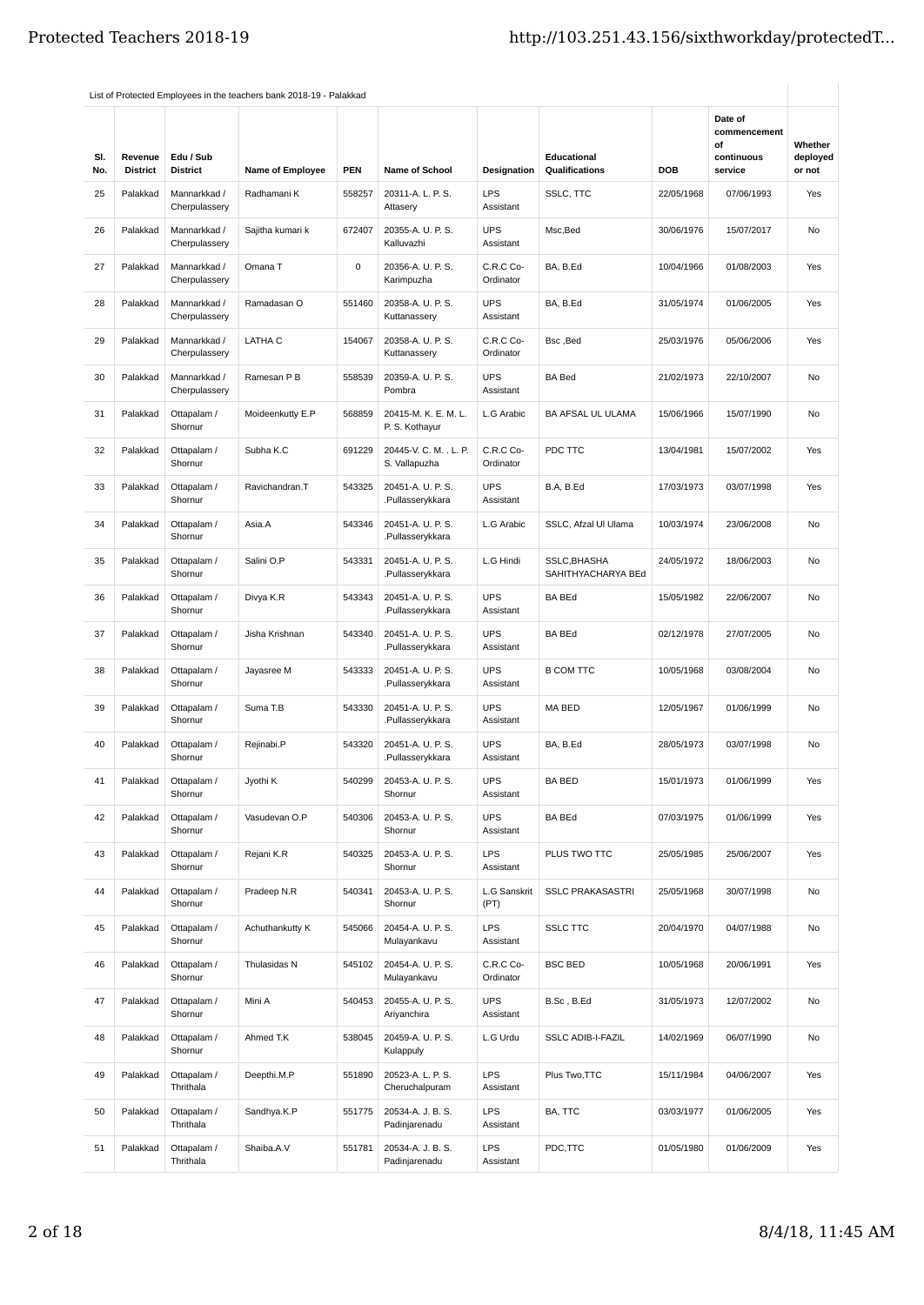| SI.<br>No. | Revenue<br><b>District</b> | Edu / Sub<br><b>District</b>  | <b>Name of Employee</b> | <b>PEN</b> | <b>Name of School</b>                   | Designation             | Educational<br><b>Qualifications</b> | DOB        | Date of<br>commencement<br>οf<br>continuous<br>service | Whether<br>deployed<br>or not |
|------------|----------------------------|-------------------------------|-------------------------|------------|-----------------------------------------|-------------------------|--------------------------------------|------------|--------------------------------------------------------|-------------------------------|
| 25         | Palakkad                   | Mannarkkad /<br>Cherpulassery | Radhamani K             | 558257     | 20311-A. L. P. S.<br>Attasery           | <b>LPS</b><br>Assistant | SSLC, TTC                            | 22/05/1968 | 07/06/1993                                             | Yes                           |
| 26         | Palakkad                   | Mannarkkad /<br>Cherpulassery | Sajitha kumari k        | 672407     | 20355-A. U. P. S.<br>Kalluvazhi         | <b>UPS</b><br>Assistant | Msc, Bed                             | 30/06/1976 | 15/07/2017                                             | No                            |
| 27         | Palakkad                   | Mannarkkad /<br>Cherpulassery | Omana T                 | 0          | 20356-A. U. P. S.<br>Karimpuzha         | C.R.C Co-<br>Ordinator  | BA, B.Ed                             | 10/04/1966 | 01/08/2003                                             | Yes                           |
| 28         | Palakkad                   | Mannarkkad /<br>Cherpulassery | Ramadasan O             | 551460     | 20358-A. U. P. S.<br>Kuttanassery       | <b>UPS</b><br>Assistant | BA, B.Ed                             | 31/05/1974 | 01/06/2005                                             | Yes                           |
| 29         | Palakkad                   | Mannarkkad /<br>Cherpulassery | LATHA C                 | 154067     | 20358-A. U. P. S.<br>Kuttanassery       | C.R.C Co-<br>Ordinator  | Bsc, Bed                             | 25/03/1976 | 05/06/2006                                             | Yes                           |
| 30         | Palakkad                   | Mannarkkad /<br>Cherpulassery | Ramesan P B             | 558539     | 20359-A. U. P. S.<br>Pombra             | <b>UPS</b><br>Assistant | <b>BA Bed</b>                        | 21/02/1973 | 22/10/2007                                             | No                            |
| 31         | Palakkad                   | Ottapalam /<br>Shornur        | Moideenkutty E.P        | 568859     | 20415-M. K. E. M. L.<br>P. S. Kothayur  | L.G Arabic              | BA AFSAL UL ULAMA                    | 15/06/1966 | 15/07/1990                                             | <b>No</b>                     |
| 32         | Palakkad                   | Ottapalam /<br>Shornur        | Subha K.C               | 691229     | 20445-V. C. M. . L. P.<br>S. Vallapuzha | C.R.C Co-<br>Ordinator  | PDC TTC                              | 13/04/1981 | 15/07/2002                                             | Yes                           |
| 33         | Palakkad                   | Ottapalam /<br>Shornur        | Ravichandran.T          | 543325     | 20451-A. U. P. S.<br>.Pullasserykkara   | <b>UPS</b><br>Assistant | B.A, B.Ed                            | 17/03/1973 | 03/07/1998                                             | Yes                           |
| 34         | Palakkad                   | Ottapalam /<br>Shornur        | Asia.A                  | 543346     | 20451-A. U. P. S.<br>.Pullasserykkara   | L.G Arabic              | SSLC, Afzal UI Ulama                 | 10/03/1974 | 23/06/2008                                             | No                            |
| 35         | Palakkad                   | Ottapalam /<br>Shornur        | Salini O.P              | 543331     | 20451-A. U. P. S.<br>Pullasserykkara    | L.G Hindi               | SSLC, BHASHA<br>SAHITHYACHARYA BEd   | 24/05/1972 | 18/06/2003                                             | No                            |
| 36         | Palakkad                   | Ottapalam /<br>Shornur        | Divya K.R               | 543343     | 20451-A. U. P. S.<br>.Pullasserykkara   | <b>UPS</b><br>Assistant | <b>BA BEd</b>                        | 15/05/1982 | 22/06/2007                                             | No                            |
| 37         | Palakkad                   | Ottapalam /<br>Shornur        | Jisha Krishnan          | 543340     | 20451-A. U. P. S.<br>.Pullasserykkara   | <b>UPS</b><br>Assistant | <b>BA BEd</b>                        | 02/12/1978 | 27/07/2005                                             | <b>No</b>                     |
| 38         | Palakkad                   | Ottapalam /<br>Shornur        | Jayasree M              | 543333     | 20451-A. U. P. S.<br>.Pullasserykkara   | <b>UPS</b><br>Assistant | <b>B COM TTC</b>                     | 10/05/1968 | 03/08/2004                                             | No                            |
| 39         | Palakkad                   | Ottapalam /<br>Shornur        | Suma T.B                | 543330     | 20451-A. U. P. S.<br>.Pullasserykkara   | <b>UPS</b><br>Assistant | MA BED                               | 12/05/1967 | 01/06/1999                                             | No                            |
| 40         | Palakkad                   | Ottapalam /<br>Shornur        | Rejinabi.P              | 543320     | 20451-A. U. P. S.<br>.Pullasserykkara   | <b>UPS</b><br>Assistant | BA, B.Ed                             | 28/05/1973 | 03/07/1998                                             | No                            |
| 41         | Palakkad                   | Ottapalam /<br>Shornur        | Jyothi K                | 540299     | 20453-A. U. P. S.<br>Shornur            | <b>UPS</b><br>Assistant | <b>BA BED</b>                        | 15/01/1973 | 01/06/1999                                             | Yes                           |
| 42         | Palakkad                   | Ottapalam /<br>Shornur        | Vasudevan O.P           | 540306     | 20453-A. U. P. S.<br>Shornur            | <b>UPS</b><br>Assistant | <b>BA BEd</b>                        | 07/03/1975 | 01/06/1999                                             | Yes                           |
| 43         | Palakkad                   | Ottapalam /<br>Shornur        | Rejani K.R              | 540325     | 20453-A. U. P. S.<br>Shornur            | <b>LPS</b><br>Assistant | PLUS TWO TTC                         | 25/05/1985 | 25/06/2007                                             | Yes                           |
| 44         | Palakkad                   | Ottapalam /<br>Shornur        | Pradeep N.R             | 540341     | 20453-A. U. P. S.<br>Shornur            | L.G Sanskrit<br>(PT)    | <b>SSLC PRAKASASTRI</b>              | 25/05/1968 | 30/07/1998                                             | No                            |
| 45         | Palakkad                   | Ottapalam /<br>Shornur        | Achuthankutty K         | 545066     | 20454-A. U. P. S.<br>Mulayankavu        | <b>LPS</b><br>Assistant | <b>SSLC TTC</b>                      | 20/04/1970 | 04/07/1988                                             | No                            |
| 46         | Palakkad                   | Ottapalam /<br>Shornur        | Thulasidas N            | 545102     | 20454-A. U. P. S.<br>Mulayankavu        | C.R.C Co-<br>Ordinator  | <b>BSC BED</b>                       | 10/05/1968 | 20/06/1991                                             | Yes                           |
| 47         | Palakkad                   | Ottapalam /<br>Shornur        | Mini A                  | 540453     | 20455-A. U. P. S.<br>Ariyanchira        | <b>UPS</b><br>Assistant | B.Sc, B.Ed                           | 31/05/1973 | 12/07/2002                                             | No                            |
| 48         | Palakkad                   | Ottapalam /<br>Shornur        | Ahmed T.K               | 538045     | 20459-A. U. P. S.<br>Kulappuly          | L.G Urdu                | <b>SSLC ADIB-I-FAZIL</b>             | 14/02/1969 | 06/07/1990                                             | No                            |
| 49         | Palakkad                   | Ottapalam /<br>Thrithala      | Deepthi.M.P             | 551890     | 20523-A. L. P. S.<br>Cheruchalpuram     | <b>LPS</b><br>Assistant | Plus Two, TTC                        | 15/11/1984 | 04/06/2007                                             | Yes                           |
| 50         | Palakkad                   | Ottapalam /<br>Thrithala      | Sandhya.K.P             | 551775     | 20534-A. J. B. S.<br>Padinjarenadu      | <b>LPS</b><br>Assistant | BA, TTC                              | 03/03/1977 | 01/06/2005                                             | Yes                           |
| 51         | Palakkad                   | Ottapalam /<br>Thrithala      | Shaiba.A.V              | 551781     | 20534-A. J. B. S.<br>Padinjarenadu      | <b>LPS</b><br>Assistant | PDC,TTC                              | 01/05/1980 | 01/06/2009                                             | Yes                           |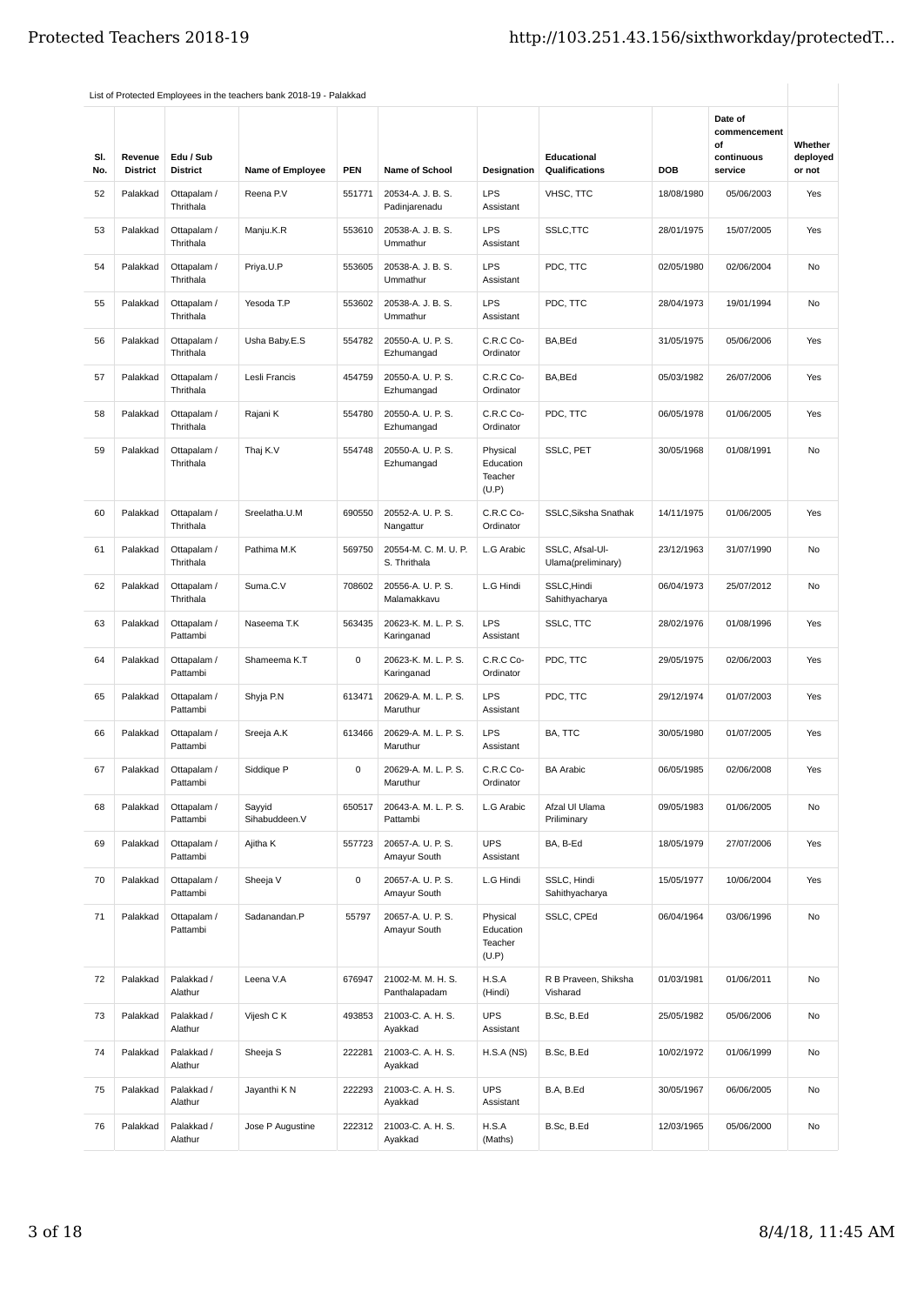| SI.<br>No. | Revenue<br><b>District</b> | Edu / Sub<br><b>District</b> | <b>Name of Employee</b> | <b>PEN</b> | <b>Name of School</b>                | Designation                               | Educational<br><b>Qualifications</b>  | DOB        | Date of<br>commencement<br>οf<br>continuous<br>service | Whether<br>deployed<br>or not |
|------------|----------------------------|------------------------------|-------------------------|------------|--------------------------------------|-------------------------------------------|---------------------------------------|------------|--------------------------------------------------------|-------------------------------|
| 52         | Palakkad                   | Ottapalam /<br>Thrithala     | Reena P.V               | 551771     | 20534-A. J. B. S.<br>Padinjarenadu   | <b>LPS</b><br>Assistant                   | VHSC, TTC                             | 18/08/1980 | 05/06/2003                                             | Yes                           |
| 53         | Palakkad                   | Ottapalam /<br>Thrithala     | Manju.K.R               | 553610     | 20538-A. J. B. S.<br>Ummathur        | <b>LPS</b><br>Assistant                   | SSLC, TTC                             | 28/01/1975 | 15/07/2005                                             | Yes                           |
| 54         | Palakkad                   | Ottapalam /<br>Thrithala     | Priya.U.P               | 553605     | 20538-A. J. B. S.<br>Ummathur        | LPS<br>Assistant                          | PDC, TTC                              | 02/05/1980 | 02/06/2004                                             | No                            |
| 55         | Palakkad                   | Ottapalam /<br>Thrithala     | Yesoda T.P              | 553602     | 20538-A. J. B. S.<br>Ummathur        | <b>LPS</b><br>Assistant                   | PDC, TTC                              | 28/04/1973 | 19/01/1994                                             | No                            |
| 56         | Palakkad                   | Ottapalam /<br>Thrithala     | Usha Baby.E.S           | 554782     | 20550-A. U. P. S.<br>Ezhumangad      | C.R.C Co-<br>Ordinator                    | BA, BEd                               | 31/05/1975 | 05/06/2006                                             | Yes                           |
| 57         | Palakkad                   | Ottapalam /<br>Thrithala     | Lesli Francis           | 454759     | 20550-A. U. P. S.<br>Ezhumangad      | C.R.C Co-<br>Ordinator                    | BA, BEd                               | 05/03/1982 | 26/07/2006                                             | Yes                           |
| 58         | Palakkad                   | Ottapalam /<br>Thrithala     | Rajani K                | 554780     | 20550-A. U. P. S.<br>Ezhumangad      | C.R.C Co-<br>Ordinator                    | PDC, TTC                              | 06/05/1978 | 01/06/2005                                             | Yes                           |
| 59         | Palakkad                   | Ottapalam /<br>Thrithala     | Thaj K.V                | 554748     | 20550-A. U. P. S.<br>Ezhumangad      | Physical<br>Education<br>Teacher<br>(U.P) | SSLC, PET                             | 30/05/1968 | 01/08/1991                                             | <b>No</b>                     |
| 60         | Palakkad                   | Ottapalam /<br>Thrithala     | Sreelatha.U.M           | 690550     | 20552-A. U. P. S.<br>Nangattur       | C.R.C Co-<br>Ordinator                    | SSLC, Siksha Snathak                  | 14/11/1975 | 01/06/2005                                             | Yes                           |
| 61         | Palakkad                   | Ottapalam /<br>Thrithala     | Pathima M.K             | 569750     | 20554-M. C. M. U. P.<br>S. Thrithala | L.G Arabic                                | SSLC, Afsal-Ul-<br>Ulama(preliminary) | 23/12/1963 | 31/07/1990                                             | No                            |
| 62         | Palakkad                   | Ottapalam /<br>Thrithala     | Suma.C.V                | 708602     | 20556-A. U. P. S.<br>Malamakkavu     | L.G Hindi                                 | SSLC, Hindi<br>Sahithyacharya         | 06/04/1973 | 25/07/2012                                             | No                            |
| 63         | Palakkad                   | Ottapalam /<br>Pattambi      | Naseema T.K             | 563435     | 20623-K. M. L. P. S.<br>Karinganad   | <b>LPS</b><br>Assistant                   | SSLC, TTC                             | 28/02/1976 | 01/08/1996                                             | Yes                           |
| 64         | Palakkad                   | Ottapalam /<br>Pattambi      | Shameema K.T            | 0          | 20623-K. M. L. P. S.<br>Karinganad   | C.R.C Co-<br>Ordinator                    | PDC, TTC                              | 29/05/1975 | 02/06/2003                                             | Yes                           |
| 65         | Palakkad                   | Ottapalam /<br>Pattambi      | Shyja P.N               | 613471     | 20629-A. M. L. P. S.<br>Maruthur     | <b>LPS</b><br>Assistant                   | PDC, TTC                              | 29/12/1974 | 01/07/2003                                             | Yes                           |
| 66         | Palakkad                   | Ottapalam /<br>Pattambi      | Sreeja A.K              | 613466     | 20629-A. M. L. P. S.<br>Maruthur     | <b>LPS</b><br>Assistant                   | BA, TTC                               | 30/05/1980 | 01/07/2005                                             | Yes                           |
| 67         | Palakkad                   | Ottapalam /<br>Pattambi      | Siddique P              | 0          | 20629-A. M. L. P. S.<br>Maruthur     | C.R.C Co-<br>Ordinator                    | <b>BA Arabic</b>                      | 06/05/1985 | 02/06/2008                                             | Yes                           |
| 68         | Palakkad                   | Ottapalam /<br>Pattambi      | Sayyid<br>Sihabuddeen.V | 650517     | 20643-A. M. L. P. S.<br>Pattambi     | L.G Arabic                                | Afzal UI Ulama<br>Priliminary         | 09/05/1983 | 01/06/2005                                             | No                            |
| 69         | Palakkad                   | Ottapalam /<br>Pattambi      | Ajitha K                | 557723     | 20657-A. U. P. S.<br>Amayur South    | <b>UPS</b><br>Assistant                   | BA, B-Ed                              | 18/05/1979 | 27/07/2006                                             | Yes                           |
| 70         | Palakkad                   | Ottapalam /<br>Pattambi      | Sheeja V                | 0          | 20657-A. U. P. S.<br>Amayur South    | L.G Hindi                                 | SSLC, Hindi<br>Sahithyacharya         | 15/05/1977 | 10/06/2004                                             | Yes                           |
| 71         | Palakkad                   | Ottapalam /<br>Pattambi      | Sadanandan.P            | 55797      | 20657-A. U. P. S.<br>Amayur South    | Physical<br>Education<br>Teacher<br>(U.P) | SSLC, CPEd                            | 06/04/1964 | 03/06/1996                                             | No                            |
| 72         | Palakkad                   | Palakkad /<br>Alathur        | Leena V.A               | 676947     | 21002-M. M. H. S.<br>Panthalapadam   | H.S.A<br>(Hindi)                          | R B Praveen, Shiksha<br>Visharad      | 01/03/1981 | 01/06/2011                                             | No                            |
| 73         | Palakkad                   | Palakkad /<br>Alathur        | Vijesh C K              | 493853     | 21003-C. A. H. S.<br>Ayakkad         | <b>UPS</b><br>Assistant                   | B.Sc, B.Ed                            | 25/05/1982 | 05/06/2006                                             | No                            |
| 74         | Palakkad                   | Palakkad /<br>Alathur        | Sheeja S                | 222281     | 21003-C. A. H. S.<br>Ayakkad         | H.S.A(NS)                                 | B.Sc, B.Ed                            | 10/02/1972 | 01/06/1999                                             | No                            |
| 75         | Palakkad                   | Palakkad /<br>Alathur        | Jayanthi K N            | 222293     | 21003-C. A. H. S.<br>Ayakkad         | <b>UPS</b><br>Assistant                   | B.A, B.Ed                             | 30/05/1967 | 06/06/2005                                             | No                            |
| 76         | Palakkad                   | Palakkad /<br>Alathur        | Jose P Augustine        | 222312     | 21003-C. A. H. S.<br>Ayakkad         | H.S.A<br>(Maths)                          | B.Sc, B.Ed                            | 12/03/1965 | 05/06/2000                                             | No                            |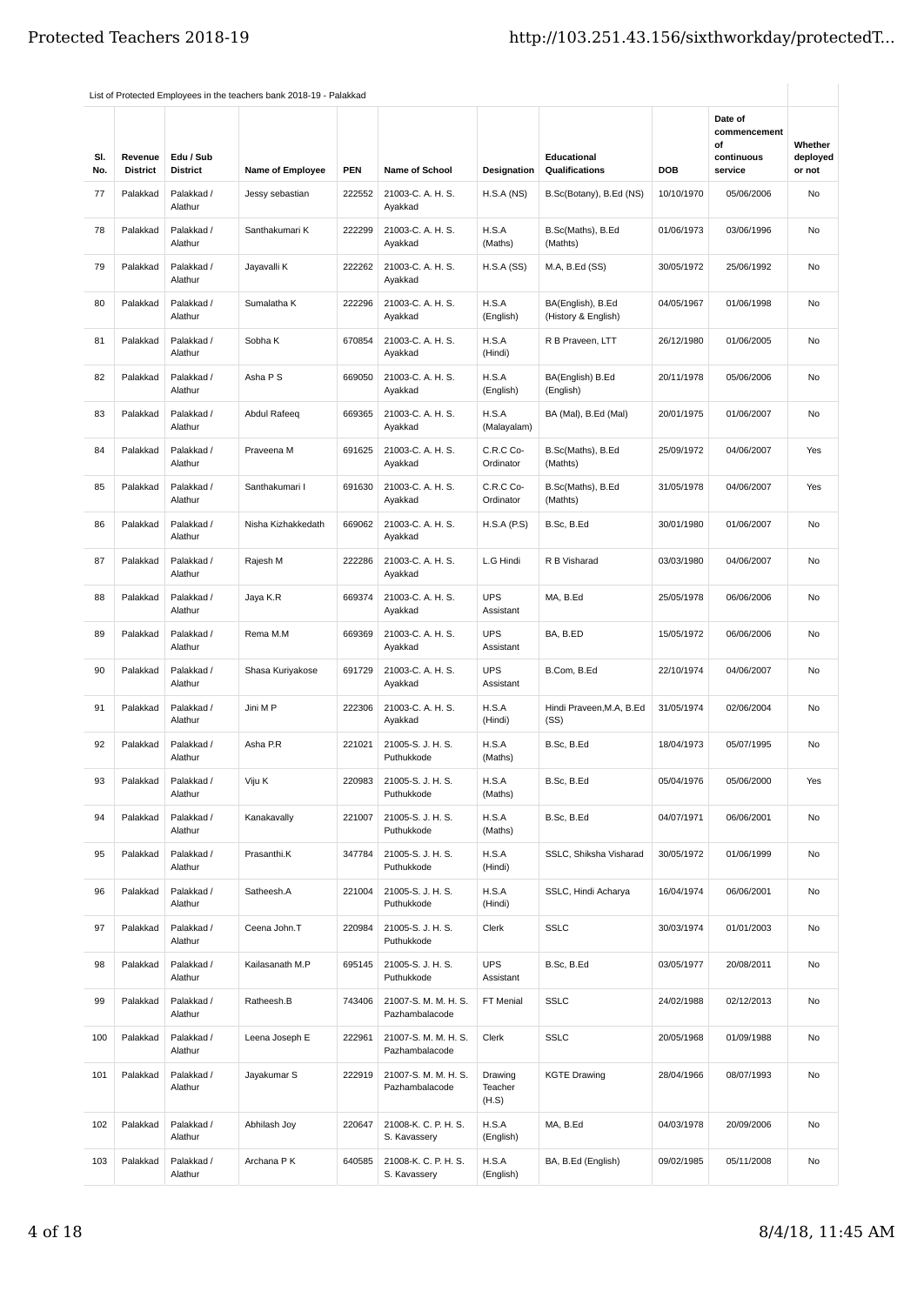| SI.<br>No. | Revenue<br><b>District</b> | Edu / Sub<br><b>District</b> | <b>Name of Employee</b> | <b>PEN</b> | <b>Name of School</b>                  | Designation                 | Educational<br>Qualifications            | DOB        | Date of<br>commencement<br>οf<br>continuous<br>service | Whether<br>deployed<br>or not |
|------------|----------------------------|------------------------------|-------------------------|------------|----------------------------------------|-----------------------------|------------------------------------------|------------|--------------------------------------------------------|-------------------------------|
| 77         | Palakkad                   | Palakkad /<br>Alathur        | Jessy sebastian         | 222552     | 21003-C. A. H. S.<br>Ayakkad           | H.S.A(NS)                   | B.Sc(Botany), B.Ed (NS)                  | 10/10/1970 | 05/06/2006                                             | No                            |
| 78         | Palakkad                   | Palakkad /<br>Alathur        | Santhakumari K          | 222299     | 21003-C. A. H. S.<br>Ayakkad           | H.S.A<br>(Maths)            | B.Sc(Maths), B.Ed<br>(Mathts)            | 01/06/1973 | 03/06/1996                                             | No                            |
| 79         | Palakkad                   | Palakkad /<br>Alathur        | Jayavalli K             | 222262     | 21003-C. A. H. S.<br>Ayakkad           | H.S.A(SS)                   | M.A, B.Ed (SS)                           | 30/05/1972 | 25/06/1992                                             | No                            |
| 80         | Palakkad                   | Palakkad /<br>Alathur        | Sumalatha K             | 222296     | 21003-C. A. H. S.<br>Ayakkad           | H.S.A<br>(English)          | BA(English), B.Ed<br>(History & English) | 04/05/1967 | 01/06/1998                                             | <b>No</b>                     |
| 81         | Palakkad                   | Palakkad /<br>Alathur        | Sobha K                 | 670854     | 21003-C. A. H. S.<br>Ayakkad           | H.S.A<br>(Hindi)            | R B Praveen, LTT                         | 26/12/1980 | 01/06/2005                                             | No                            |
| 82         | Palakkad                   | Palakkad /<br>Alathur        | Asha P S                | 669050     | 21003-C. A. H. S.<br>Ayakkad           | H.S.A<br>(English)          | BA(English) B.Ed<br>(English)            | 20/11/1978 | 05/06/2006                                             | No                            |
| 83         | Palakkad                   | Palakkad /<br>Alathur        | Abdul Rafeeq            | 669365     | 21003-C. A. H. S.<br>Ayakkad           | H.S.A<br>(Malayalam)        | BA (Mal), B.Ed (Mal)                     | 20/01/1975 | 01/06/2007                                             | No                            |
| 84         | Palakkad                   | Palakkad /<br>Alathur        | Praveena M              | 691625     | 21003-C. A. H. S.<br>Ayakkad           | C.R.C Co-<br>Ordinator      | B.Sc(Maths), B.Ed<br>(Mathts)            | 25/09/1972 | 04/06/2007                                             | Yes                           |
| 85         | Palakkad                   | Palakkad /<br>Alathur        | Santhakumari I          | 691630     | 21003-C. A. H. S.<br>Ayakkad           | C.R.C Co-<br>Ordinator      | B.Sc(Maths), B.Ed<br>(Mathts)            | 31/05/1978 | 04/06/2007                                             | Yes                           |
| 86         | Palakkad                   | Palakkad /<br>Alathur        | Nisha Kizhakkedath      | 669062     | 21003-C. A. H. S.<br>Ayakkad           | H.S.A(P.S)                  | B.Sc, B.Ed                               | 30/01/1980 | 01/06/2007                                             | No                            |
| 87         | Palakkad                   | Palakkad /<br>Alathur        | Rajesh M                | 222286     | 21003-C. A. H. S.<br>Ayakkad           | L.G Hindi                   | R B Visharad                             | 03/03/1980 | 04/06/2007                                             | No                            |
| 88         | Palakkad                   | Palakkad /<br>Alathur        | Jaya K.R                | 669374     | 21003-C. A. H. S.<br>Ayakkad           | <b>UPS</b><br>Assistant     | MA, B.Ed                                 | 25/05/1978 | 06/06/2006                                             | No                            |
| 89         | Palakkad                   | Palakkad /<br>Alathur        | Rema M.M                | 669369     | 21003-C. A. H. S.<br>Ayakkad           | <b>UPS</b><br>Assistant     | BA, B.ED                                 | 15/05/1972 | 06/06/2006                                             | <b>No</b>                     |
| 90         | Palakkad                   | Palakkad /<br>Alathur        | Shasa Kuriyakose        | 691729     | 21003-C. A. H. S.<br>Ayakkad           | <b>UPS</b><br>Assistant     | B.Com, B.Ed                              | 22/10/1974 | 04/06/2007                                             | No                            |
| 91         | Palakkad                   | Palakkad /<br>Alathur        | Jini M P                | 222306     | 21003-C. A. H. S.<br>Ayakkad           | H.S.A<br>(Hindi)            | Hindi Praveen, M.A. B.Ed<br>(SS)         | 31/05/1974 | 02/06/2004                                             | No                            |
| 92         | Palakkad                   | Palakkad /<br>Alathur        | Asha P.R                | 221021     | 21005-S. J. H. S.<br>Puthukkode        | H.S.A<br>(Maths)            | B.Sc, B.Ed                               | 18/04/1973 | 05/07/1995                                             | No                            |
| 93         | Palakkad                   | Palakkad /<br>Alathur        | Viju K                  | 220983     | 21005-S. J. H. S.<br>Puthukkode        | H.S.A<br>(Maths)            | B.Sc, B.Ed                               | 05/04/1976 | 05/06/2000                                             | Yes                           |
| 94         | Palakkad                   | Palakkad /<br>Alathur        | Kanakavally             | 221007     | 21005-S. J. H. S.<br>Puthukkode        | H.S.A<br>(Maths)            | B.Sc, B.Ed                               | 04/07/1971 | 06/06/2001                                             | No                            |
| 95         | Palakkad                   | Palakkad /<br>Alathur        | Prasanthi.K             | 347784     | 21005-S. J. H. S.<br>Puthukkode        | H.S.A<br>(Hindi)            | SSLC, Shiksha Visharad                   | 30/05/1972 | 01/06/1999                                             | No                            |
| 96         | Palakkad                   | Palakkad /<br>Alathur        | Satheesh.A              | 221004     | 21005-S. J. H. S.<br>Puthukkode        | H.S.A<br>(Hindi)            | SSLC, Hindi Acharya                      | 16/04/1974 | 06/06/2001                                             | No                            |
| 97         | Palakkad                   | Palakkad /<br>Alathur        | Ceena John.T            | 220984     | 21005-S. J. H. S.<br>Puthukkode        | Clerk                       | <b>SSLC</b>                              | 30/03/1974 | 01/01/2003                                             | No                            |
| 98         | Palakkad                   | Palakkad /<br>Alathur        | Kailasanath M.P         | 695145     | 21005-S. J. H. S.<br>Puthukkode        | <b>UPS</b><br>Assistant     | B.Sc, B.Ed                               | 03/05/1977 | 20/08/2011                                             | No                            |
| 99         | Palakkad                   | Palakkad /<br>Alathur        | Ratheesh.B              | 743406     | 21007-S. M. M. H. S.<br>Pazhambalacode | FT Menial                   | <b>SSLC</b>                              | 24/02/1988 | 02/12/2013                                             | No                            |
| 100        | Palakkad                   | Palakkad /<br>Alathur        | Leena Joseph E          | 222961     | 21007-S. M. M. H. S.<br>Pazhambalacode | Clerk                       | <b>SSLC</b>                              | 20/05/1968 | 01/09/1988                                             | No                            |
| 101        | Palakkad                   | Palakkad /<br>Alathur        | Jayakumar S             | 222919     | 21007-S. M. M. H. S.<br>Pazhambalacode | Drawing<br>Teacher<br>(H.S) | <b>KGTE Drawing</b>                      | 28/04/1966 | 08/07/1993                                             | No                            |
| 102        | Palakkad                   | Palakkad /<br>Alathur        | Abhilash Joy            | 220647     | 21008-K. C. P. H. S.<br>S. Kavassery   | H.S.A<br>(English)          | MA, B.Ed                                 | 04/03/1978 | 20/09/2006                                             | No                            |
| 103        | Palakkad                   | Palakkad /<br>Alathur        | Archana P K             | 640585     | 21008-K. C. P. H. S.<br>S. Kavassery   | H.S.A<br>(English)          | BA, B.Ed (English)                       | 09/02/1985 | 05/11/2008                                             | No                            |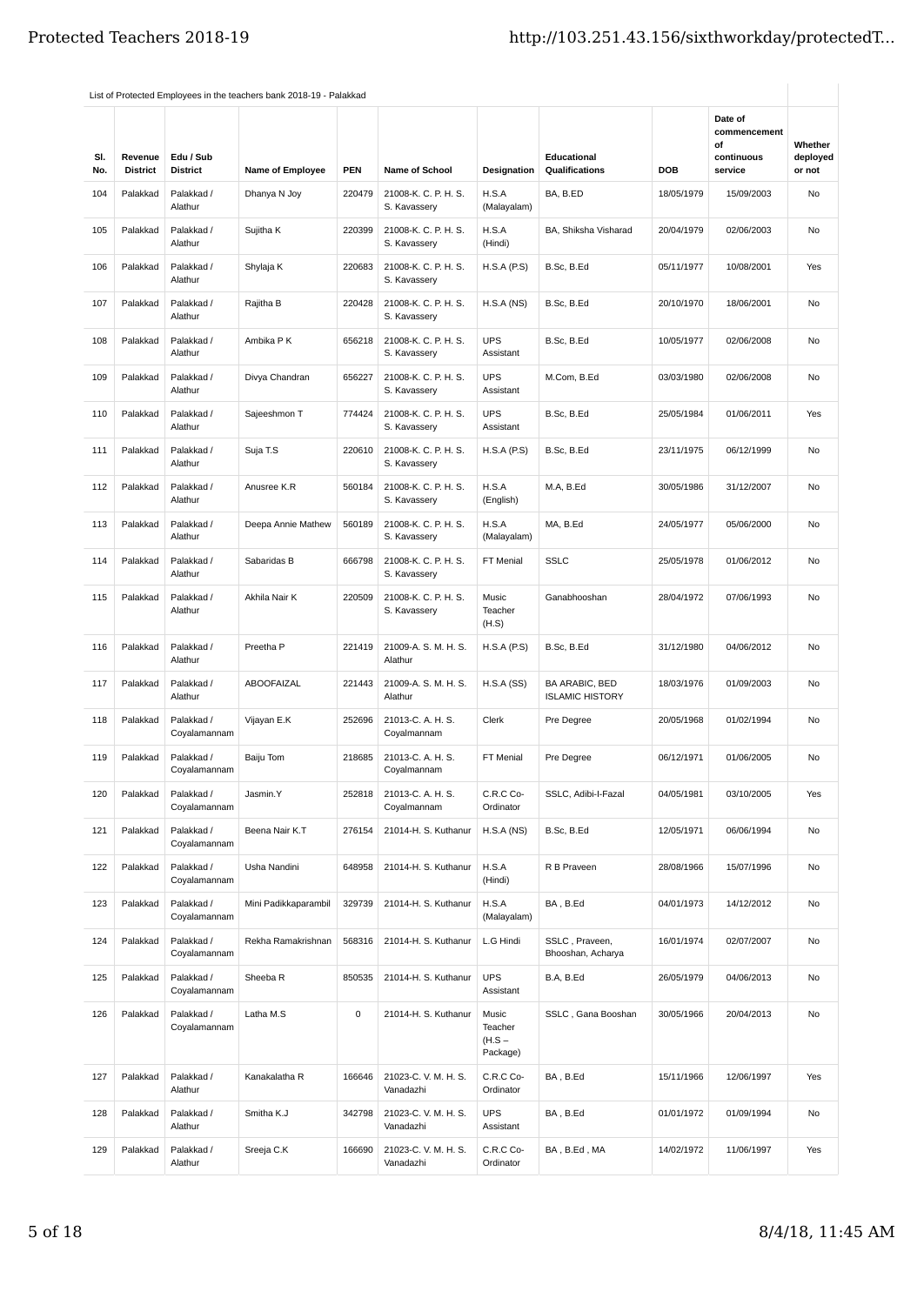| SI.<br>No. | Revenue<br><b>District</b> | Edu / Sub<br><b>District</b> | <b>Name of Employee</b> | <b>PEN</b> | <b>Name of School</b>                | Designation                              | Educational<br>Qualifications            | <b>DOB</b> | Date of<br>commencement<br>οf<br>continuous<br>service | Whether<br>deployed<br>or not |
|------------|----------------------------|------------------------------|-------------------------|------------|--------------------------------------|------------------------------------------|------------------------------------------|------------|--------------------------------------------------------|-------------------------------|
| 104        | Palakkad                   | Palakkad /<br>Alathur        | Dhanya N Joy            | 220479     | 21008-K. C. P. H. S.<br>S. Kavassery | H.S.A<br>(Malayalam)                     | BA, B.ED                                 | 18/05/1979 | 15/09/2003                                             | No                            |
| 105        | Palakkad                   | Palakkad /<br>Alathur        | Sujitha K               | 220399     | 21008-K. C. P. H. S.<br>S. Kavassery | H.S.A<br>(Hindi)                         | BA, Shiksha Visharad                     | 20/04/1979 | 02/06/2003                                             | No                            |
| 106        | Palakkad                   | Palakkad /<br>Alathur        | Shylaja K               | 220683     | 21008-K. C. P. H. S.<br>S. Kavassery | H.S.A(P.S)                               | B.Sc, B.Ed                               | 05/11/1977 | 10/08/2001                                             | Yes                           |
| 107        | Palakkad                   | Palakkad /<br>Alathur        | Rajitha B               | 220428     | 21008-K. C. P. H. S.<br>S. Kavassery | H.S.A(NS)                                | B.Sc, B.Ed                               | 20/10/1970 | 18/06/2001                                             | <b>No</b>                     |
| 108        | Palakkad                   | Palakkad /<br>Alathur        | Ambika P K              | 656218     | 21008-K. C. P. H. S.<br>S. Kavassery | <b>UPS</b><br>Assistant                  | B.Sc, B.Ed                               | 10/05/1977 | 02/06/2008                                             | No                            |
| 109        | Palakkad                   | Palakkad /<br>Alathur        | Divya Chandran          | 656227     | 21008-K. C. P. H. S.<br>S. Kavassery | <b>UPS</b><br>Assistant                  | M.Com, B.Ed                              | 03/03/1980 | 02/06/2008                                             | No                            |
| 110        | Palakkad                   | Palakkad /<br>Alathur        | Sajeeshmon T            | 774424     | 21008-K. C. P. H. S.<br>S. Kavassery | <b>UPS</b><br>Assistant                  | B.Sc, B.Ed                               | 25/05/1984 | 01/06/2011                                             | Yes                           |
| 111        | Palakkad                   | Palakkad /<br>Alathur        | Suja T.S                | 220610     | 21008-K. C. P. H. S.<br>S. Kavassery | H.S.A(P.S)                               | B.Sc, B.Ed                               | 23/11/1975 | 06/12/1999                                             | <b>No</b>                     |
| 112        | Palakkad                   | Palakkad /<br>Alathur        | Anusree K.R             | 560184     | 21008-K. C. P. H. S.<br>S. Kavassery | H.S.A<br>(English)                       | M.A, B.Ed                                | 30/05/1986 | 31/12/2007                                             | No                            |
| 113        | Palakkad                   | Palakkad /<br>Alathur        | Deepa Annie Mathew      | 560189     | 21008-K. C. P. H. S.<br>S. Kavassery | H.S.A<br>(Malayalam)                     | MA, B.Ed                                 | 24/05/1977 | 05/06/2000                                             | No                            |
| 114        | Palakkad                   | Palakkad /<br>Alathur        | Sabaridas B             | 666798     | 21008-K. C. P. H. S.<br>S. Kavassery | FT Menial                                | <b>SSLC</b>                              | 25/05/1978 | 01/06/2012                                             | No                            |
| 115        | Palakkad                   | Palakkad /<br>Alathur        | Akhila Nair K           | 220509     | 21008-K. C. P. H. S.<br>S. Kavassery | Music<br>Teacher<br>(H.S)                | Ganabhooshan                             | 28/04/1972 | 07/06/1993                                             | No                            |
| 116        | Palakkad                   | Palakkad /<br>Alathur        | Preetha P               | 221419     | 21009-A. S. M. H. S.<br>Alathur      | H.S.A(P.S)                               | B.Sc, B.Ed                               | 31/12/1980 | 04/06/2012                                             | No                            |
| 117        | Palakkad                   | Palakkad /<br>Alathur        | ABOOFAIZAL              | 221443     | 21009-A. S. M. H. S.<br>Alathur      | H.S.A(SS)                                | BA ARABIC, BED<br><b>ISLAMIC HISTORY</b> | 18/03/1976 | 01/09/2003                                             | No                            |
| 118        | Palakkad                   | Palakkad /<br>Coyalamannam   | Vijayan E.K             | 252696     | 21013-C. A. H. S.<br>Coyalmannam     | Clerk                                    | Pre Degree                               | 20/05/1968 | 01/02/1994                                             | <b>No</b>                     |
| 119        | Palakkad                   | Palakkad /<br>Coyalamannam   | Baiju Tom               | 218685     | 21013-C. A. H. S.<br>Coyalmannam     | FT Menial                                | Pre Degree                               | 06/12/1971 | 01/06/2005                                             | No                            |
| 120        | Palakkad                   | Palakkad /<br>Coyalamannam   | Jasmin.Y                | 252818     | 21013-C. A. H. S.<br>Coyalmannam     | C.R.C Co-<br>Ordinator                   | SSLC, Adibi-I-Fazal                      | 04/05/1981 | 03/10/2005                                             | Yes                           |
| 121        | Palakkad                   | Palakkad /<br>Coyalamannam   | Beena Nair K.T          | 276154     | 21014-H. S. Kuthanur                 | H.S.A(NS)                                | B.Sc, B.Ed                               | 12/05/1971 | 06/06/1994                                             | No                            |
| 122        | Palakkad                   | Palakkad /<br>Coyalamannam   | Usha Nandini            | 648958     | 21014-H. S. Kuthanur                 | H.S.A<br>(Hindi)                         | R B Praveen                              | 28/08/1966 | 15/07/1996                                             | No                            |
| 123        | Palakkad                   | Palakkad /<br>Coyalamannam   | Mini Padikkaparambil    | 329739     | 21014-H. S. Kuthanur                 | H.S.A<br>(Malayalam)                     | BA, B.Ed                                 | 04/01/1973 | 14/12/2012                                             | No                            |
| 124        | Palakkad                   | Palakkad /<br>Coyalamannam   | Rekha Ramakrishnan      | 568316     | 21014-H. S. Kuthanur                 | L.G Hindi                                | SSLC, Praveen,<br>Bhooshan, Acharya      | 16/01/1974 | 02/07/2007                                             | No                            |
| 125        | Palakkad                   | Palakkad /<br>Coyalamannam   | Sheeba <sub>R</sub>     | 850535     | 21014-H. S. Kuthanur                 | <b>UPS</b><br>Assistant                  | B.A, B.Ed                                | 26/05/1979 | 04/06/2013                                             | No                            |
| 126        | Palakkad                   | Palakkad /<br>Coyalamannam   | Latha M.S               | 0          | 21014-H. S. Kuthanur                 | Music<br>Teacher<br>$(H.S -$<br>Package) | SSLC, Gana Booshan                       | 30/05/1966 | 20/04/2013                                             | No                            |
| 127        | Palakkad                   | Palakkad /<br>Alathur        | Kanakalatha R           | 166646     | 21023-C.V.M.H.S.<br>Vanadazhi        | C.R.C Co-<br>Ordinator                   | BA, B.Ed                                 | 15/11/1966 | 12/06/1997                                             | Yes                           |
| 128        | Palakkad                   | Palakkad /<br>Alathur        | Smitha K.J              | 342798     | 21023-C.V.M.H.S.<br>Vanadazhi        | <b>UPS</b><br>Assistant                  | BA, B.Ed                                 | 01/01/1972 | 01/09/1994                                             | No                            |
| 129        | Palakkad                   | Palakkad /<br>Alathur        | Sreeja C.K              | 166690     | 21023-C.V.M.H.S.<br>Vanadazhi        | C.R.C Co-<br>Ordinator                   | BA, B.Ed, MA                             | 14/02/1972 | 11/06/1997                                             | Yes                           |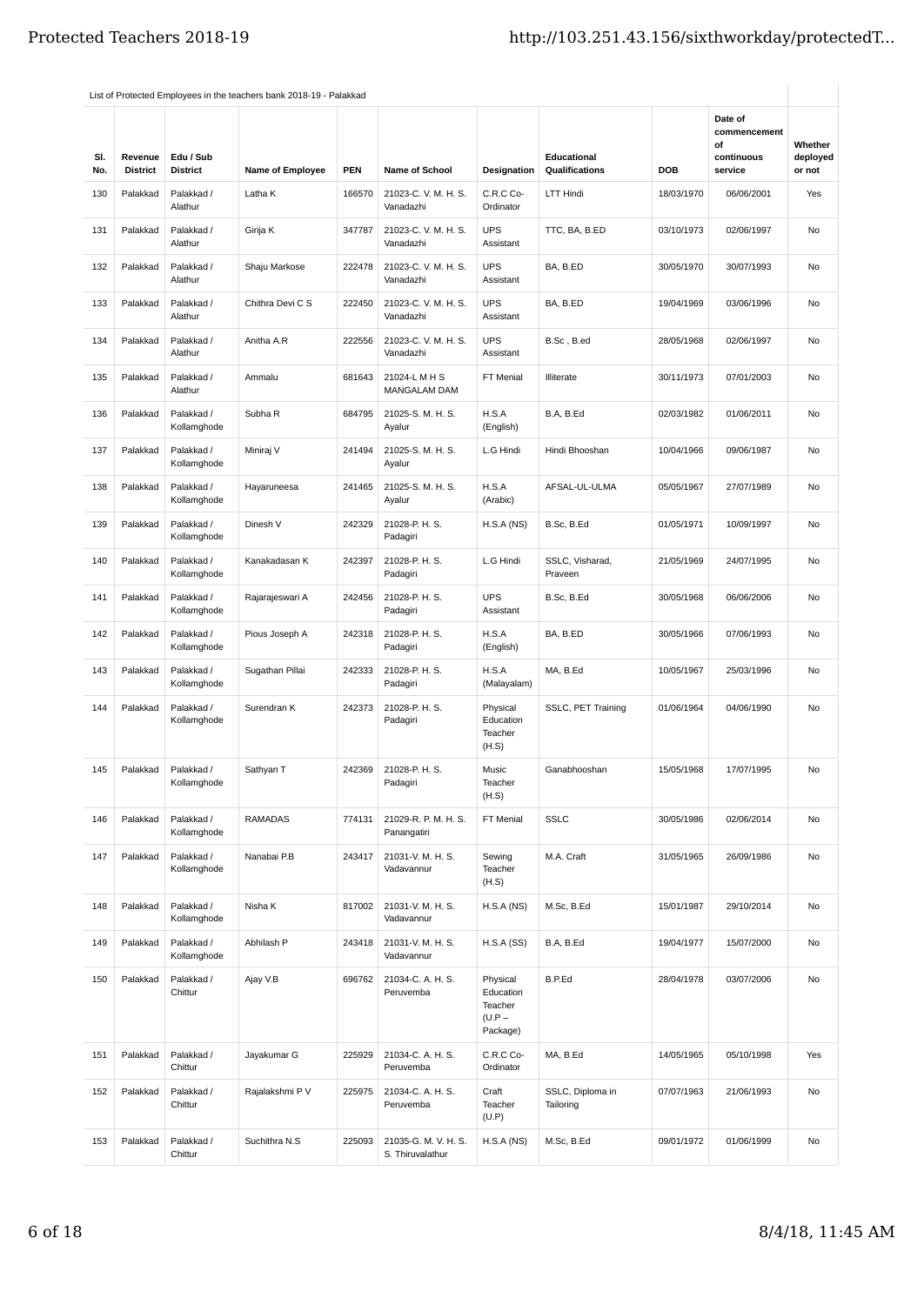|            |                            |                              | List of Protected Employees in the teachers bank 2018-19 - Palakkad |            |                                          |                                                          |                               |            | Date of                                     |                               |
|------------|----------------------------|------------------------------|---------------------------------------------------------------------|------------|------------------------------------------|----------------------------------------------------------|-------------------------------|------------|---------------------------------------------|-------------------------------|
| SI.<br>No. | Revenue<br><b>District</b> | Edu / Sub<br><b>District</b> | <b>Name of Employee</b>                                             | <b>PEN</b> | <b>Name of School</b>                    | Designation                                              | Educational<br>Qualifications | <b>DOB</b> | commencement<br>οf<br>continuous<br>service | Whether<br>deployed<br>or not |
| 130        | Palakkad                   | Palakkad /<br>Alathur        | Latha K                                                             | 166570     | 21023-C.V.M.H.S.<br>Vanadazhi            | C.R.C Co-<br>Ordinator                                   | LTT Hindi                     | 18/03/1970 | 06/06/2001                                  | Yes                           |
| 131        | Palakkad                   | Palakkad /<br>Alathur        | Girija K                                                            | 347787     | 21023-C.V.M.H.S.<br>Vanadazhi            | <b>UPS</b><br>Assistant                                  | TTC, BA, B.ED                 | 03/10/1973 | 02/06/1997                                  | No                            |
| 132        | Palakkad                   | Palakkad /<br>Alathur        | Shaju Markose                                                       | 222478     | 21023-C.V.M.H.S.<br>Vanadazhi            | <b>UPS</b><br>Assistant                                  | BA, B.ED                      | 30/05/1970 | 30/07/1993                                  | No                            |
| 133        | Palakkad                   | Palakkad /<br>Alathur        | Chithra Devi C S                                                    | 222450     | 21023-C.V.M.H.S.<br>Vanadazhi            | <b>UPS</b><br>Assistant                                  | BA, B.ED                      | 19/04/1969 | 03/06/1996                                  | No                            |
| 134        | Palakkad                   | Palakkad /<br>Alathur        | Anitha A.R                                                          | 222556     | 21023-C.V.M.H.S.<br>Vanadazhi            | <b>UPS</b><br>Assistant                                  | B.Sc, B.ed                    | 28/05/1968 | 02/06/1997                                  | No                            |
| 135        | Palakkad                   | Palakkad /<br>Alathur        | Ammalu                                                              | 681643     | 21024-L M H S<br>MANGALAM DAM            | FT Menial                                                | Illiterate                    | 30/11/1973 | 07/01/2003                                  | No                            |
| 136        | Palakkad                   | Palakkad /<br>Kollamghode    | Subha R                                                             | 684795     | 21025-S. M. H. S.<br>Ayalur              | H.S.A<br>(English)                                       | B.A, B.Ed                     | 02/03/1982 | 01/06/2011                                  | No                            |
| 137        | Palakkad                   | Palakkad /<br>Kollamghode    | Miniraj V                                                           | 241494     | 21025-S. M. H. S.<br>Ayalur              | L.G Hindi                                                | Hindi Bhooshan                | 10/04/1966 | 09/06/1987                                  | No                            |
| 138        | Palakkad                   | Palakkad /<br>Kollamghode    | Hayaruneesa                                                         | 241465     | 21025-S. M. H. S.<br>Ayalur              | H.S.A<br>(Arabic)                                        | AFSAL-UL-ULMA                 | 05/05/1967 | 27/07/1989                                  | No                            |
| 139        | Palakkad                   | Palakkad /<br>Kollamghode    | Dinesh V                                                            | 242329     | 21028-P. H. S.<br>Padagiri               | H.S.A(NS)                                                | B.Sc, B.Ed                    | 01/05/1971 | 10/09/1997                                  | No                            |
| 140        | Palakkad                   | Palakkad /<br>Kollamghode    | Kanakadasan K                                                       | 242397     | 21028-P. H. S.<br>Padagiri               | L.G Hindi                                                | SSLC, Visharad,<br>Praveen    | 21/05/1969 | 24/07/1995                                  | No                            |
| 141        | Palakkad                   | Palakkad /<br>Kollamghode    | Rajarajeswari A                                                     | 242456     | 21028-P. H. S.<br>Padagiri               | <b>UPS</b><br>Assistant                                  | B.Sc, B.Ed                    | 30/05/1968 | 06/06/2006                                  | No                            |
| 142        | Palakkad                   | Palakkad /<br>Kollamghode    | Pious Joseph A                                                      | 242318     | 21028-P. H. S.<br>Padagiri               | H.S.A<br>(English)                                       | BA, B.ED                      | 30/05/1966 | 07/06/1993                                  | No                            |
| 143        | Palakkad                   | Palakkad /<br>Kollamghode    | Sugathan Pillai                                                     | 242333     | 21028-P. H. S.<br>Padagiri               | H.S.A<br>(Malayalam)                                     | MA, B.Ed                      | 10/05/1967 | 25/03/1996                                  | No                            |
| 144        | Palakkad                   | Palakkad /<br>Kollamghode    | Surendran K                                                         | 242373     | 21028-P. H. S.<br>Padagiri               | Physical<br>Education<br>Teacher<br>(H.S)                | SSLC, PET Training            | 01/06/1964 | 04/06/1990                                  | No                            |
| 145        | Palakkad                   | Palakkad /<br>Kollamghode    | Sathyan T                                                           | 242369     | 21028-P. H. S.<br>Padagiri               | Music<br>Teacher<br>(H.S)                                | Ganabhooshan                  | 15/05/1968 | 17/07/1995                                  | No                            |
| 146        | Palakkad                   | Palakkad /<br>Kollamghode    | <b>RAMADAS</b>                                                      | 774131     | 21029-R. P. M. H. S.<br>Panangatiri      | FT Menial                                                | <b>SSLC</b>                   | 30/05/1986 | 02/06/2014                                  | No                            |
| 147        | Palakkad                   | Palakkad /<br>Kollamghode    | Nanabai P.B                                                         | 243417     | 21031-V. M. H. S.<br>Vadavannur          | Sewing<br>Teacher<br>(H.S)                               | M.A. Craft                    | 31/05/1965 | 26/09/1986                                  | No                            |
| 148        | Palakkad                   | Palakkad /<br>Kollamghode    | Nisha K                                                             | 817002     | 21031-V. M. H. S.<br>Vadavannur          | H.S.A(NS)                                                | M.Sc, B.Ed                    | 15/01/1987 | 29/10/2014                                  | No                            |
| 149        | Palakkad                   | Palakkad /<br>Kollamghode    | Abhilash P                                                          | 243418     | 21031-V. M. H. S.<br>Vadavannur          | H.S.A(SS)                                                | B.A, B.Ed                     | 19/04/1977 | 15/07/2000                                  | No                            |
| 150        | Palakkad                   | Palakkad /<br>Chittur        | Ajay V.B                                                            | 696762     | 21034-C. A. H. S.<br>Peruvemba           | Physical<br>Education<br>Teacher<br>$(U.P -$<br>Package) | B.P.Ed                        | 28/04/1978 | 03/07/2006                                  | No                            |
| 151        | Palakkad                   | Palakkad /<br>Chittur        | Jayakumar G                                                         | 225929     | 21034-C. A. H. S.<br>Peruvemba           | C.R.C Co-<br>Ordinator                                   | MA, B.Ed                      | 14/05/1965 | 05/10/1998                                  | Yes                           |
| 152        | Palakkad                   | Palakkad /<br>Chittur        | Rajalakshmi P V                                                     | 225975     | 21034-C. A. H. S.<br>Peruvemba           | Craft<br>Teacher<br>(U.P)                                | SSLC, Diploma in<br>Tailoring | 07/07/1963 | 21/06/1993                                  | No                            |
| 153        | Palakkad                   | Palakkad /<br>Chittur        | Suchithra N.S                                                       | 225093     | 21035-G. M. V. H. S.<br>S. Thiruvalathur | H.S.A(NS)                                                | M.Sc, B.Ed                    | 09/01/1972 | 01/06/1999                                  | No                            |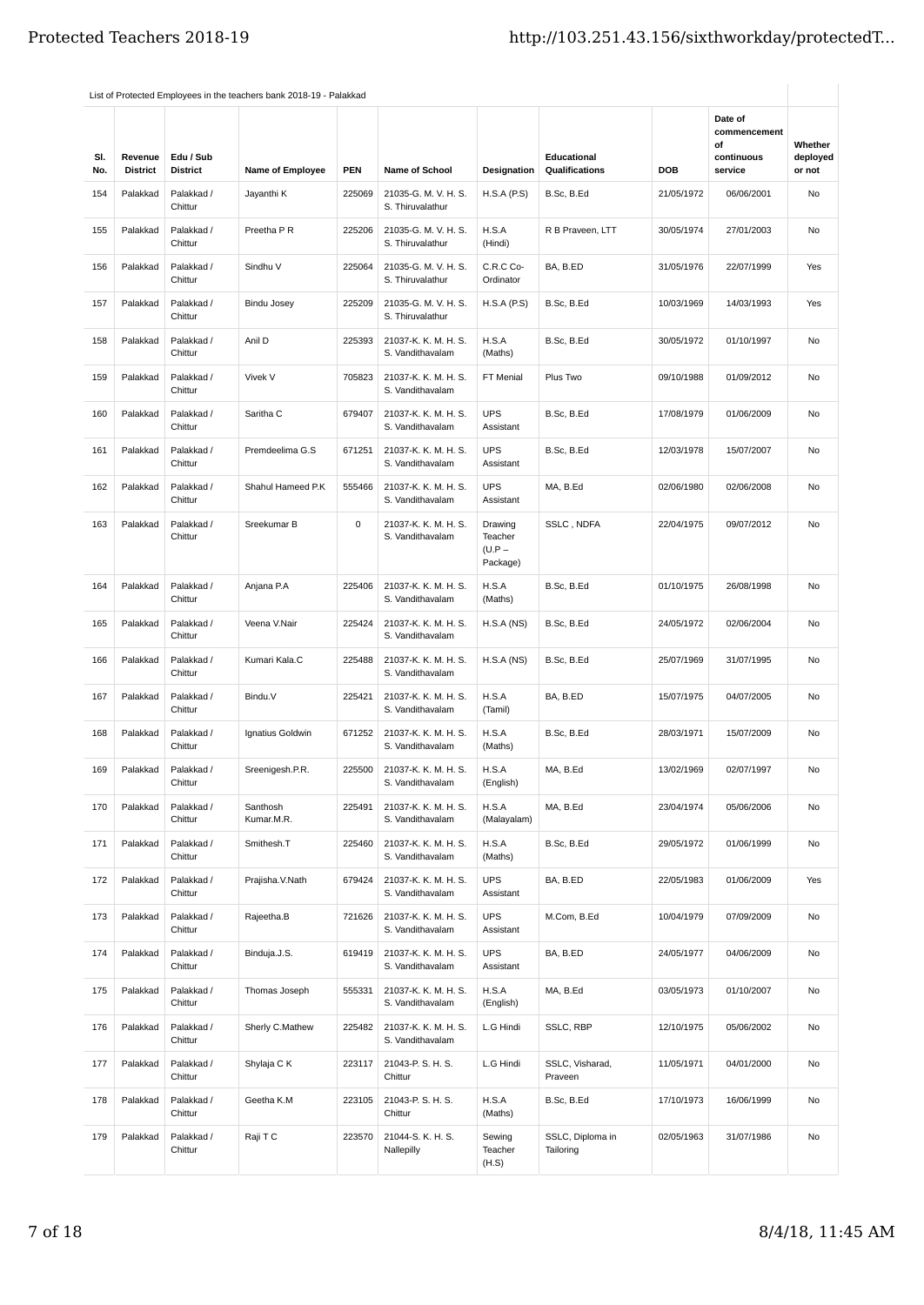| SI.<br>No. | Revenue<br><b>District</b> | Edu / Sub<br><b>District</b> | <b>Name of Employee</b> | <b>PEN</b> | <b>Name of School</b>                    | <b>Designation</b>                         | <b>Educational</b><br>Qualifications | <b>DOB</b> | Date of<br>commencement<br>οf<br>continuous<br>service | Whether<br>deployed<br>or not |
|------------|----------------------------|------------------------------|-------------------------|------------|------------------------------------------|--------------------------------------------|--------------------------------------|------------|--------------------------------------------------------|-------------------------------|
| 154        | Palakkad                   | Palakkad /<br>Chittur        | Jayanthi K              | 225069     | 21035-G. M. V. H. S.<br>S. Thiruvalathur | H.S.A(P.S)                                 | B.Sc, B.Ed                           | 21/05/1972 | 06/06/2001                                             | No                            |
| 155        | Palakkad                   | Palakkad /<br>Chittur        | Preetha P R             | 225206     | 21035-G. M. V. H. S.<br>S. Thiruvalathur | H.S.A<br>(Hindi)                           | R B Praveen, LTT                     | 30/05/1974 | 27/01/2003                                             | No                            |
| 156        | Palakkad                   | Palakkad /<br>Chittur        | Sindhu V                | 225064     | 21035-G. M. V. H. S.<br>S. Thiruvalathur | C.R.C Co-<br>Ordinator                     | BA, B.ED                             | 31/05/1976 | 22/07/1999                                             | Yes                           |
| 157        | Palakkad                   | Palakkad /<br>Chittur        | Bindu Josey             | 225209     | 21035-G. M. V. H. S.<br>S. Thiruvalathur | H.S.A(P.S)                                 | B.Sc, B.Ed                           | 10/03/1969 | 14/03/1993                                             | Yes                           |
| 158        | Palakkad                   | Palakkad /<br>Chittur        | Anil D                  | 225393     | 21037-K. K. M. H. S.<br>S. Vandithavalam | H.S.A<br>(Maths)                           | B.Sc, B.Ed                           | 30/05/1972 | 01/10/1997                                             | No                            |
| 159        | Palakkad                   | Palakkad /<br>Chittur        | Vivek V                 | 705823     | 21037-K. K. M. H. S.<br>S. Vandithavalam | FT Menial                                  | Plus Two                             | 09/10/1988 | 01/09/2012                                             | No                            |
| 160        | Palakkad                   | Palakkad /<br>Chittur        | Saritha C               | 679407     | 21037-K. K. M. H. S.<br>S. Vandithavalam | <b>UPS</b><br>Assistant                    | B.Sc, B.Ed                           | 17/08/1979 | 01/06/2009                                             | No                            |
| 161        | Palakkad                   | Palakkad /<br>Chittur        | Premdeelima G.S         | 671251     | 21037-K. K. M. H. S.<br>S. Vandithavalam | <b>UPS</b><br>Assistant                    | B.Sc, B.Ed                           | 12/03/1978 | 15/07/2007                                             | No                            |
| 162        | Palakkad                   | Palakkad /<br>Chittur        | Shahul Hameed P.K       | 555466     | 21037-K. K. M. H. S.<br>S. Vandithavalam | <b>UPS</b><br>Assistant                    | MA, B.Ed                             | 02/06/1980 | 02/06/2008                                             | No                            |
| 163        | Palakkad                   | Palakkad /<br>Chittur        | Sreekumar B             | 0          | 21037-K. K. M. H. S.<br>S. Vandithavalam | Drawing<br>Teacher<br>$(U.P -$<br>Package) | SSLC, NDFA                           | 22/04/1975 | 09/07/2012                                             | No                            |
| 164        | Palakkad                   | Palakkad /<br>Chittur        | Anjana P.A              | 225406     | 21037-K. K. M. H. S.<br>S. Vandithavalam | H.S.A<br>(Maths)                           | B.Sc, B.Ed                           | 01/10/1975 | 26/08/1998                                             | No                            |
| 165        | Palakkad                   | Palakkad /<br>Chittur        | Veena V.Nair            | 225424     | 21037-K. K. M. H. S.<br>S. Vandithavalam | H.S.A(NS)                                  | B.Sc, B.Ed                           | 24/05/1972 | 02/06/2004                                             | No                            |
| 166        | Palakkad                   | Palakkad /<br>Chittur        | Kumari Kala.C           | 225488     | 21037-K. K. M. H. S.<br>S. Vandithavalam | H.S.A(NS)                                  | B.Sc, B.Ed                           | 25/07/1969 | 31/07/1995                                             | No                            |
| 167        | Palakkad                   | Palakkad /<br>Chittur        | Bindu.V                 | 225421     | 21037-K. K. M. H. S.<br>S. Vandithavalam | H.S.A<br>(Tamil)                           | BA, B.ED                             | 15/07/1975 | 04/07/2005                                             | No                            |
| 168        | Palakkad                   | Palakkad /<br>Chittur        | Ignatius Goldwin        | 671252     | 21037-K. K. M. H. S.<br>S. Vandithavalam | H.S.A<br>(Maths)                           | B.Sc, B.Ed                           | 28/03/1971 | 15/07/2009                                             | No                            |
| 169        | Palakkad                   | Palakkad /<br>Chittur        | Sreenigesh.P.R.         | 225500     | 21037-K. K. M. H. S.<br>S. Vandithavalam | H.S.A<br>(English)                         | MA, B.Ed                             | 13/02/1969 | 02/07/1997                                             | No                            |
| 170        | Palakkad                   | Palakkad /<br>Chittur        | Santhosh<br>Kumar.M.R.  | 225491     | 21037-K. K. M. H. S.<br>S. Vandithavalam | H.S.A<br>(Malayalam)                       | MA, B.Ed                             | 23/04/1974 | 05/06/2006                                             | No                            |
| 171        | Palakkad                   | Palakkad /<br>Chittur        | Smithesh.T              | 225460     | 21037-K. K. M. H. S.<br>S. Vandithavalam | H.S.A<br>(Maths)                           | B.Sc, B.Ed                           | 29/05/1972 | 01/06/1999                                             | No                            |
| 172        | Palakkad                   | Palakkad /<br>Chittur        | Prajisha.V.Nath         | 679424     | 21037-K. K. M. H. S.<br>S. Vandithavalam | <b>UPS</b><br>Assistant                    | BA, B.ED                             | 22/05/1983 | 01/06/2009                                             | Yes                           |
| 173        | Palakkad                   | Palakkad /<br>Chittur        | Rajeetha.B              | 721626     | 21037-K. K. M. H. S.<br>S. Vandithavalam | <b>UPS</b><br>Assistant                    | M.Com, B.Ed                          | 10/04/1979 | 07/09/2009                                             | No                            |
| 174        | Palakkad                   | Palakkad /<br>Chittur        | Binduja.J.S.            | 619419     | 21037-K. K. M. H. S.<br>S. Vandithavalam | <b>UPS</b><br>Assistant                    | BA, B.ED                             | 24/05/1977 | 04/06/2009                                             | No                            |
| 175        | Palakkad                   | Palakkad /<br>Chittur        | Thomas Joseph           | 555331     | 21037-K. K. M. H. S.<br>S. Vandithavalam | H.S.A<br>(English)                         | MA, B.Ed                             | 03/05/1973 | 01/10/2007                                             | No                            |
| 176        | Palakkad                   | Palakkad /<br>Chittur        | Sherly C.Mathew         | 225482     | 21037-K. K. M. H. S.<br>S. Vandithavalam | L.G Hindi                                  | SSLC, RBP                            | 12/10/1975 | 05/06/2002                                             | No                            |
| 177        | Palakkad                   | Palakkad /<br>Chittur        | Shylaja C K             | 223117     | 21043-P. S. H. S.<br>Chittur             | L.G Hindi                                  | SSLC, Visharad,<br>Praveen           | 11/05/1971 | 04/01/2000                                             | No                            |
| 178        | Palakkad                   | Palakkad /<br>Chittur        | Geetha K.M              | 223105     | 21043-P. S. H. S.<br>Chittur             | H.S.A<br>(Maths)                           | B.Sc, B.Ed                           | 17/10/1973 | 16/06/1999                                             | No                            |
| 179        | Palakkad                   | Palakkad /<br>Chittur        | Raji T C                | 223570     | 21044-S. K. H. S.<br>Nallepilly          | Sewing<br>Teacher<br>(H.S)                 | SSLC, Diploma in<br>Tailoring        | 02/05/1963 | 31/07/1986                                             | No                            |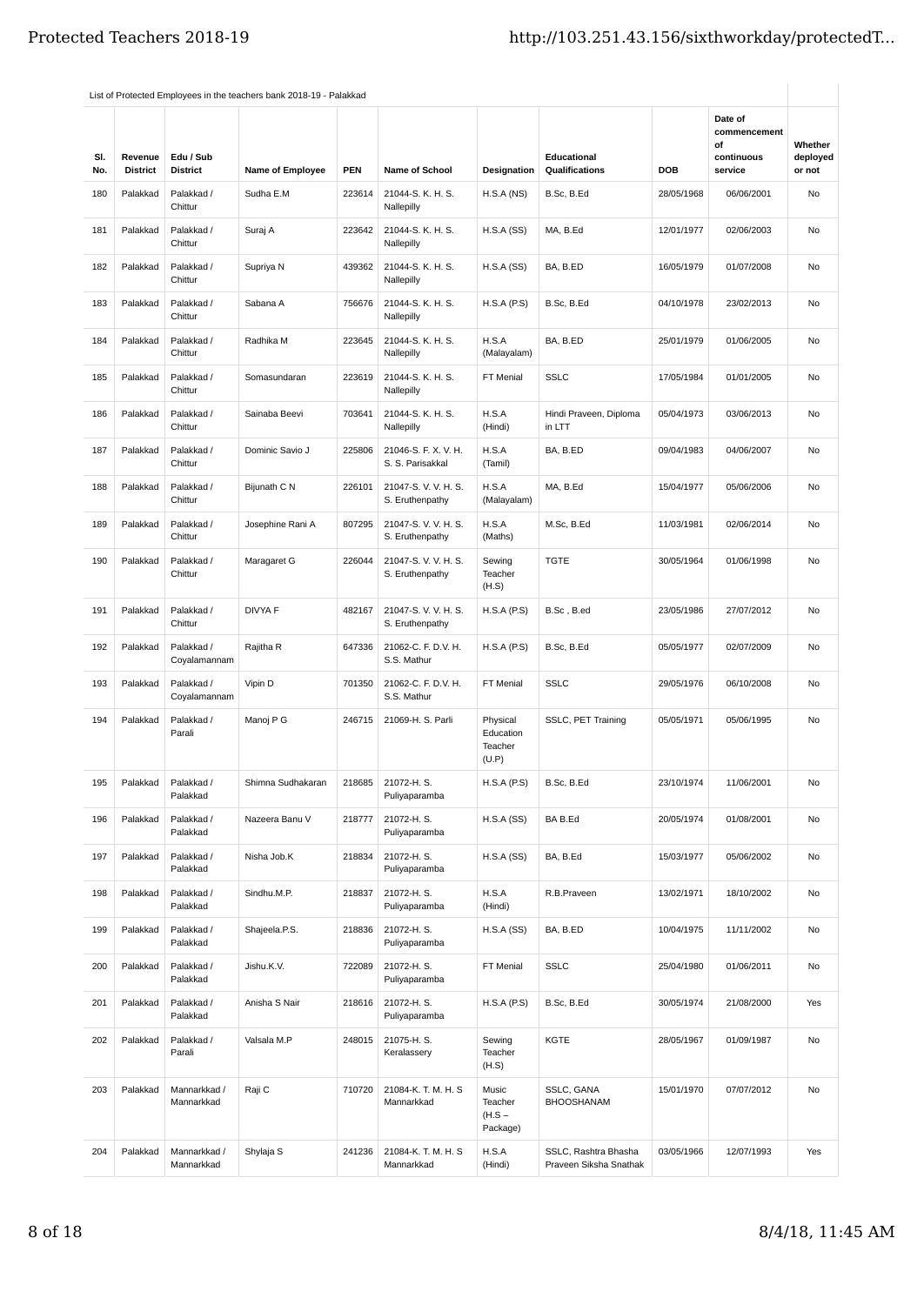| SI.<br>No. | Revenue<br><b>District</b> | Edu / Sub<br><b>District</b> | Name of Employee  | <b>PEN</b> | <b>Name of School</b>                    | Designation                               | Educational<br>Qualifications                  | <b>DOB</b> | Date of<br>commencement<br>οf<br>continuous<br>service | Whether<br>deployed<br>or not |
|------------|----------------------------|------------------------------|-------------------|------------|------------------------------------------|-------------------------------------------|------------------------------------------------|------------|--------------------------------------------------------|-------------------------------|
| 180        | Palakkad                   | Palakkad /<br>Chittur        | Sudha E.M         | 223614     | 21044-S. K. H. S.<br>Nallepilly          | H.S.A(NS)                                 | B.Sc, B.Ed                                     | 28/05/1968 | 06/06/2001                                             | No                            |
| 181        | Palakkad                   | Palakkad /<br>Chittur        | Suraj A           | 223642     | 21044-S. K. H. S.<br>Nallepilly          | H.S.A(SS)                                 | MA, B.Ed                                       | 12/01/1977 | 02/06/2003                                             | No                            |
| 182        | Palakkad                   | Palakkad /<br>Chittur        | Supriya N         | 439362     | 21044-S. K. H. S.<br>Nallepilly          | H.S.A(SS)                                 | BA, B.ED                                       | 16/05/1979 | 01/07/2008                                             | No                            |
| 183        | Palakkad                   | Palakkad /<br>Chittur        | Sabana A          | 756676     | 21044-S. K. H. S.<br>Nallepilly          | H.S.A(P.S)                                | B.Sc, B.Ed                                     | 04/10/1978 | 23/02/2013                                             | No                            |
| 184        | Palakkad                   | Palakkad /<br>Chittur        | Radhika M         | 223645     | 21044-S. K. H. S.<br>Nallepilly          | H.S.A<br>(Malayalam)                      | BA, B.ED                                       | 25/01/1979 | 01/06/2005                                             | No                            |
| 185        | Palakkad                   | Palakkad /<br>Chittur        | Somasundaran      | 223619     | 21044-S. K. H. S.<br>Nallepilly          | FT Menial                                 | <b>SSLC</b>                                    | 17/05/1984 | 01/01/2005                                             | <b>No</b>                     |
| 186        | Palakkad                   | Palakkad /<br>Chittur        | Sainaba Beevi     | 703641     | 21044-S. K. H. S.<br>Nallepilly          | H.S.A<br>(Hindi)                          | Hindi Praveen, Diploma<br>in LTT               | 05/04/1973 | 03/06/2013                                             | No                            |
| 187        | Palakkad                   | Palakkad /<br>Chittur        | Dominic Savio J   | 225806     | 21046-S. F. X. V. H.<br>S. S. Parisakkal | H.S.A<br>(Tamil)                          | BA, B.ED                                       | 09/04/1983 | 04/06/2007                                             | No                            |
| 188        | Palakkad                   | Palakkad /<br>Chittur        | Bijunath C N      | 226101     | 21047-S.V.V.H.S.<br>S. Eruthenpathy      | H.S.A<br>(Malayalam)                      | MA, B.Ed                                       | 15/04/1977 | 05/06/2006                                             | No                            |
| 189        | Palakkad                   | Palakkad /<br>Chittur        | Josephine Rani A  | 807295     | 21047-S. V. V. H. S.<br>S. Eruthenpathy  | H.S.A<br>(Maths)                          | M.Sc, B.Ed                                     | 11/03/1981 | 02/06/2014                                             | <b>No</b>                     |
| 190        | Palakkad                   | Palakkad /<br>Chittur        | Maragaret G       | 226044     | 21047-S.V.V.H.S.<br>S. Eruthenpathy      | Sewing<br>Teacher<br>(H.S)                | <b>TGTE</b>                                    | 30/05/1964 | 01/06/1998                                             | No                            |
| 191        | Palakkad                   | Palakkad /<br>Chittur        | DIVYA F           | 482167     | 21047-S.V.V.H.S.<br>S. Eruthenpathy      | H.S.A(P.S)                                | B.Sc, B.ed                                     | 23/05/1986 | 27/07/2012                                             | No                            |
| 192        | Palakkad                   | Palakkad /<br>Coyalamannam   | Rajitha R         | 647336     | 21062-C. F. D.V. H.<br>S.S. Mathur       | H.S.A(P.S)                                | B.Sc, B.Ed                                     | 05/05/1977 | 02/07/2009                                             | <b>No</b>                     |
| 193        | Palakkad                   | Palakkad /<br>Coyalamannam   | Vipin D           | 701350     | 21062-C. F. D.V. H.<br>S.S. Mathur       | FT Menial                                 | <b>SSLC</b>                                    | 29/05/1976 | 06/10/2008                                             | No                            |
| 194        | Palakkad                   | Palakkad /<br>Parali         | Manoj P G         | 246715     | 21069-H. S. Parli                        | Physical<br>Education<br>Teacher<br>(U.P) | SSLC, PET Training                             | 05/05/1971 | 05/06/1995                                             | No                            |
| 195        | Palakkad                   | Palakkad /<br>Palakkad       | Shimna Sudhakaran | 218685     | 21072-H.S.<br>Puliyaparamba              | H.S.A(P.S)                                | B.Sc, B.Ed                                     | 23/10/1974 | 11/06/2001                                             | No                            |
| 196        | Palakkad                   | Palakkad /<br>Palakkad       | Nazeera Banu V    | 218777     | 21072-H.S.<br>Puliyaparamba              | H.S.A(SS)                                 | BA B.Ed                                        | 20/05/1974 | 01/08/2001                                             | No                            |
| 197        | Palakkad                   | Palakkad /<br>Palakkad       | Nisha Job.K       | 218834     | 21072-H.S.<br>Puliyaparamba              | H.S.A(SS)                                 | BA, B.Ed                                       | 15/03/1977 | 05/06/2002                                             | No                            |
| 198        | Palakkad                   | Palakkad /<br>Palakkad       | Sindhu.M.P.       | 218837     | 21072-H.S.<br>Puliyaparamba              | H.S.A<br>(Hindi)                          | R.B.Praveen                                    | 13/02/1971 | 18/10/2002                                             | No                            |
| 199        | Palakkad                   | Palakkad /<br>Palakkad       | Shajeela.P.S.     | 218836     | 21072-H.S.<br>Puliyaparamba              | H.S.A(SS)                                 | BA, B.ED                                       | 10/04/1975 | 11/11/2002                                             | No                            |
| 200        | Palakkad                   | Palakkad /<br>Palakkad       | Jishu.K.V.        | 722089     | 21072-H.S.<br>Puliyaparamba              | FT Menial                                 | <b>SSLC</b>                                    | 25/04/1980 | 01/06/2011                                             | No                            |
| 201        | Palakkad                   | Palakkad /<br>Palakkad       | Anisha S Nair     | 218616     | 21072-H.S.<br>Puliyaparamba              | H.S.A(P.S)                                | B.Sc, B.Ed                                     | 30/05/1974 | 21/08/2000                                             | Yes                           |
| 202        | Palakkad                   | Palakkad /<br>Parali         | Valsala M.P       | 248015     | 21075-H.S.<br>Keralassery                | Sewing<br>Teacher<br>(H.S)                | KGTE                                           | 28/05/1967 | 01/09/1987                                             | No                            |
| 203        | Palakkad                   | Mannarkkad /<br>Mannarkkad   | Raji C            | 710720     | 21084-K. T. M. H. S<br>Mannarkkad        | Music<br>Teacher<br>$(H.S -$<br>Package)  | SSLC, GANA<br><b>BHOOSHANAM</b>                | 15/01/1970 | 07/07/2012                                             | No                            |
| 204        | Palakkad                   | Mannarkkad /<br>Mannarkkad   | Shylaja S         | 241236     | 21084-K. T. M. H. S<br>Mannarkkad        | H.S.A<br>(Hindi)                          | SSLC, Rashtra Bhasha<br>Praveen Siksha Snathak | 03/05/1966 | 12/07/1993                                             | Yes                           |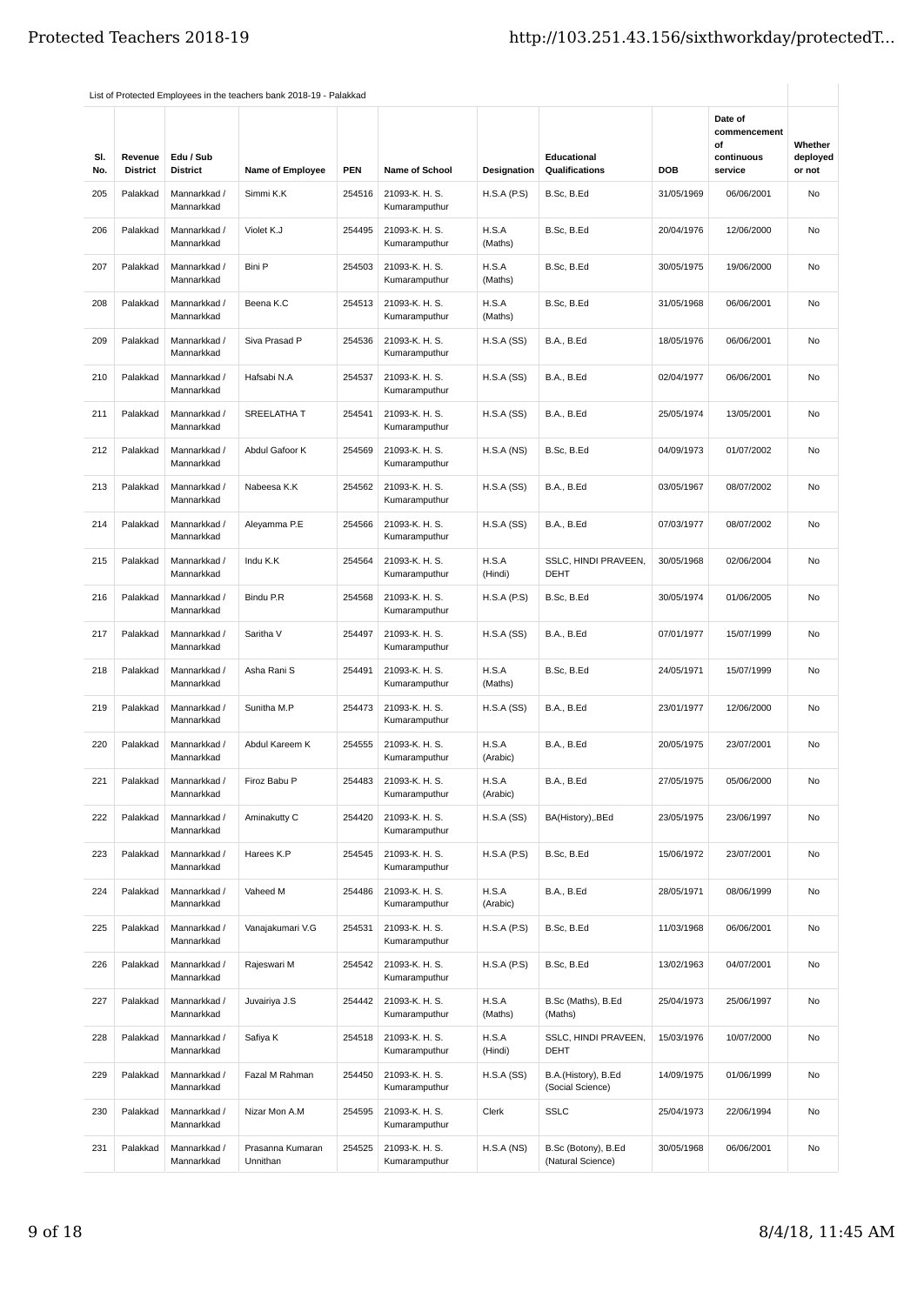| SI.<br>No. | Revenue<br><b>District</b> | Edu / Sub<br><b>District</b> | <b>Name of Employee</b>      | <b>PEN</b> | <b>Name of School</b>           | Designation       | Educational<br>Qualifications            | <b>DOB</b> | Date of<br>commencement<br>οf<br>continuous<br>service | Whether<br>deployed<br>or not |
|------------|----------------------------|------------------------------|------------------------------|------------|---------------------------------|-------------------|------------------------------------------|------------|--------------------------------------------------------|-------------------------------|
| 205        | Palakkad                   | Mannarkkad /<br>Mannarkkad   | Simmi K.K                    | 254516     | 21093-K. H. S.<br>Kumaramputhur | H.S.A(P.S)        | B.Sc, B.Ed                               | 31/05/1969 | 06/06/2001                                             | No                            |
| 206        | Palakkad                   | Mannarkkad /<br>Mannarkkad   | Violet K.J                   | 254495     | 21093-K. H. S.<br>Kumaramputhur | H.S.A<br>(Maths)  | B.Sc, B.Ed                               | 20/04/1976 | 12/06/2000                                             | No                            |
| 207        | Palakkad                   | Mannarkkad /<br>Mannarkkad   | Bini P                       | 254503     | 21093-K. H. S.<br>Kumaramputhur | H.S.A<br>(Maths)  | B.Sc, B.Ed                               | 30/05/1975 | 19/06/2000                                             | No                            |
| 208        | Palakkad                   | Mannarkkad /<br>Mannarkkad   | Beena K.C                    | 254513     | 21093-K. H. S.<br>Kumaramputhur | H.S.A<br>(Maths)  | B.Sc, B.Ed                               | 31/05/1968 | 06/06/2001                                             | No                            |
| 209        | Palakkad                   | Mannarkkad /<br>Mannarkkad   | Siva Prasad P                | 254536     | 21093-K. H. S.<br>Kumaramputhur | H.S.A(SS)         | <b>B.A., B.Ed</b>                        | 18/05/1976 | 06/06/2001                                             | No                            |
| 210        | Palakkad                   | Mannarkkad /<br>Mannarkkad   | Hafsabi N.A                  | 254537     | 21093-K. H. S.<br>Kumaramputhur | H.S.A(SS)         | <b>B.A., B.Ed</b>                        | 02/04/1977 | 06/06/2001                                             | No                            |
| 211        | Palakkad                   | Mannarkkad /<br>Mannarkkad   | SREELATHA T                  | 254541     | 21093-K. H. S.<br>Kumaramputhur | H.S.A(SS)         | <b>B.A., B.Ed</b>                        | 25/05/1974 | 13/05/2001                                             | No                            |
| 212        | Palakkad                   | Mannarkkad /<br>Mannarkkad   | Abdul Gafoor K               | 254569     | 21093-K. H. S.<br>Kumaramputhur | H.S.A(NS)         | B.Sc, B.Ed                               | 04/09/1973 | 01/07/2002                                             | No                            |
| 213        | Palakkad                   | Mannarkkad /<br>Mannarkkad   | Nabeesa K.K                  | 254562     | 21093-K. H. S.<br>Kumaramputhur | H.S.A(SS)         | <b>B.A., B.Ed</b>                        | 03/05/1967 | 08/07/2002                                             | No                            |
| 214        | Palakkad                   | Mannarkkad /<br>Mannarkkad   | Aleyamma P.E                 | 254566     | 21093-K. H. S.<br>Kumaramputhur | H.S.A(SS)         | <b>B.A., B.Ed</b>                        | 07/03/1977 | 08/07/2002                                             | No                            |
| 215        | Palakkad                   | Mannarkkad /<br>Mannarkkad   | Indu K.K                     | 254564     | 21093-K. H. S.<br>Kumaramputhur | H.S.A<br>(Hindi)  | SSLC, HINDI PRAVEEN,<br><b>DEHT</b>      | 30/05/1968 | 02/06/2004                                             | No                            |
| 216        | Palakkad                   | Mannarkkad /<br>Mannarkkad   | Bindu P.R                    | 254568     | 21093-K. H. S.<br>Kumaramputhur | H.S.A (P.S)       | B.Sc, B.Ed                               | 30/05/1974 | 01/06/2005                                             | No                            |
| 217        | Palakkad                   | Mannarkkad /<br>Mannarkkad   | Saritha V                    | 254497     | 21093-K. H. S.<br>Kumaramputhur | H.S.A(SS)         | <b>B.A., B.Ed</b>                        | 07/01/1977 | 15/07/1999                                             | No                            |
| 218        | Palakkad                   | Mannarkkad /<br>Mannarkkad   | Asha Rani S                  | 254491     | 21093-K. H. S.<br>Kumaramputhur | H.S.A<br>(Maths)  | B.Sc, B.Ed                               | 24/05/1971 | 15/07/1999                                             | No                            |
| 219        | Palakkad                   | Mannarkkad /<br>Mannarkkad   | Sunitha M.P                  | 254473     | 21093-K. H. S.<br>Kumaramputhur | H.S.A(SS)         | <b>B.A., B.Ed</b>                        | 23/01/1977 | 12/06/2000                                             | No                            |
| 220        | Palakkad                   | Mannarkkad /<br>Mannarkkad   | Abdul Kareem K               | 254555     | 21093-K. H. S.<br>Kumaramputhur | H.S.A<br>(Arabic) | <b>B.A., B.Ed</b>                        | 20/05/1975 | 23/07/2001                                             | No                            |
| 221        | Palakkad                   | Mannarkkad /<br>Mannarkkad   | Firoz Babu P                 | 254483     | 21093-K. H. S.<br>Kumaramputhur | H.S.A<br>(Arabic) | <b>B.A., B.Ed</b>                        | 27/05/1975 | 05/06/2000                                             | No                            |
| 222        | Palakkad                   | Mannarkkad /<br>Mannarkkad   | Aminakutty C                 | 254420     | 21093-K. H. S.<br>Kumaramputhur | H.S.A(SS)         | BA(History), BEd                         | 23/05/1975 | 23/06/1997                                             | No                            |
| 223        | Palakkad                   | Mannarkkad /<br>Mannarkkad   | Harees K.P                   | 254545     | 21093-K. H. S.<br>Kumaramputhur | H.S.A (P.S)       | B.Sc, B.Ed                               | 15/06/1972 | 23/07/2001                                             | No                            |
| 224        | Palakkad                   | Mannarkkad /<br>Mannarkkad   | Vaheed M                     | 254486     | 21093-K. H. S.<br>Kumaramputhur | H.S.A<br>(Arabic) | <b>B.A., B.Ed</b>                        | 28/05/1971 | 08/06/1999                                             | No                            |
| 225        | Palakkad                   | Mannarkkad /<br>Mannarkkad   | Vanajakumari V.G             | 254531     | 21093-K. H. S.<br>Kumaramputhur | H.S.A(P.S)        | B.Sc, B.Ed                               | 11/03/1968 | 06/06/2001                                             | No                            |
| 226        | Palakkad                   | Mannarkkad /<br>Mannarkkad   | Rajeswari M                  | 254542     | 21093-K. H. S.<br>Kumaramputhur | H.S.A(P.S)        | B.Sc, B.Ed                               | 13/02/1963 | 04/07/2001                                             | No                            |
| 227        | Palakkad                   | Mannarkkad /<br>Mannarkkad   | Juvairiya J.S                | 254442     | 21093-K. H. S.<br>Kumaramputhur | H.S.A<br>(Maths)  | B.Sc (Maths), B.Ed<br>(Maths)            | 25/04/1973 | 25/06/1997                                             | No                            |
| 228        | Palakkad                   | Mannarkkad /<br>Mannarkkad   | Safiya K                     | 254518     | 21093-K. H. S.<br>Kumaramputhur | H.S.A<br>(Hindi)  | SSLC, HINDI PRAVEEN,<br><b>DEHT</b>      | 15/03/1976 | 10/07/2000                                             | No                            |
| 229        | Palakkad                   | Mannarkkad /<br>Mannarkkad   | Fazal M Rahman               | 254450     | 21093-K. H. S.<br>Kumaramputhur | H.S.A(SS)         | B.A.(History), B.Ed<br>(Social Science)  | 14/09/1975 | 01/06/1999                                             | No                            |
| 230        | Palakkad                   | Mannarkkad /<br>Mannarkkad   | Nizar Mon A.M                | 254595     | 21093-K. H. S.<br>Kumaramputhur | Clerk             | <b>SSLC</b>                              | 25/04/1973 | 22/06/1994                                             | No                            |
| 231        | Palakkad                   | Mannarkkad /<br>Mannarkkad   | Prasanna Kumaran<br>Unnithan | 254525     | 21093-K. H. S.<br>Kumaramputhur | H.S.A(NS)         | B.Sc (Botony), B.Ed<br>(Natural Science) | 30/05/1968 | 06/06/2001                                             | No                            |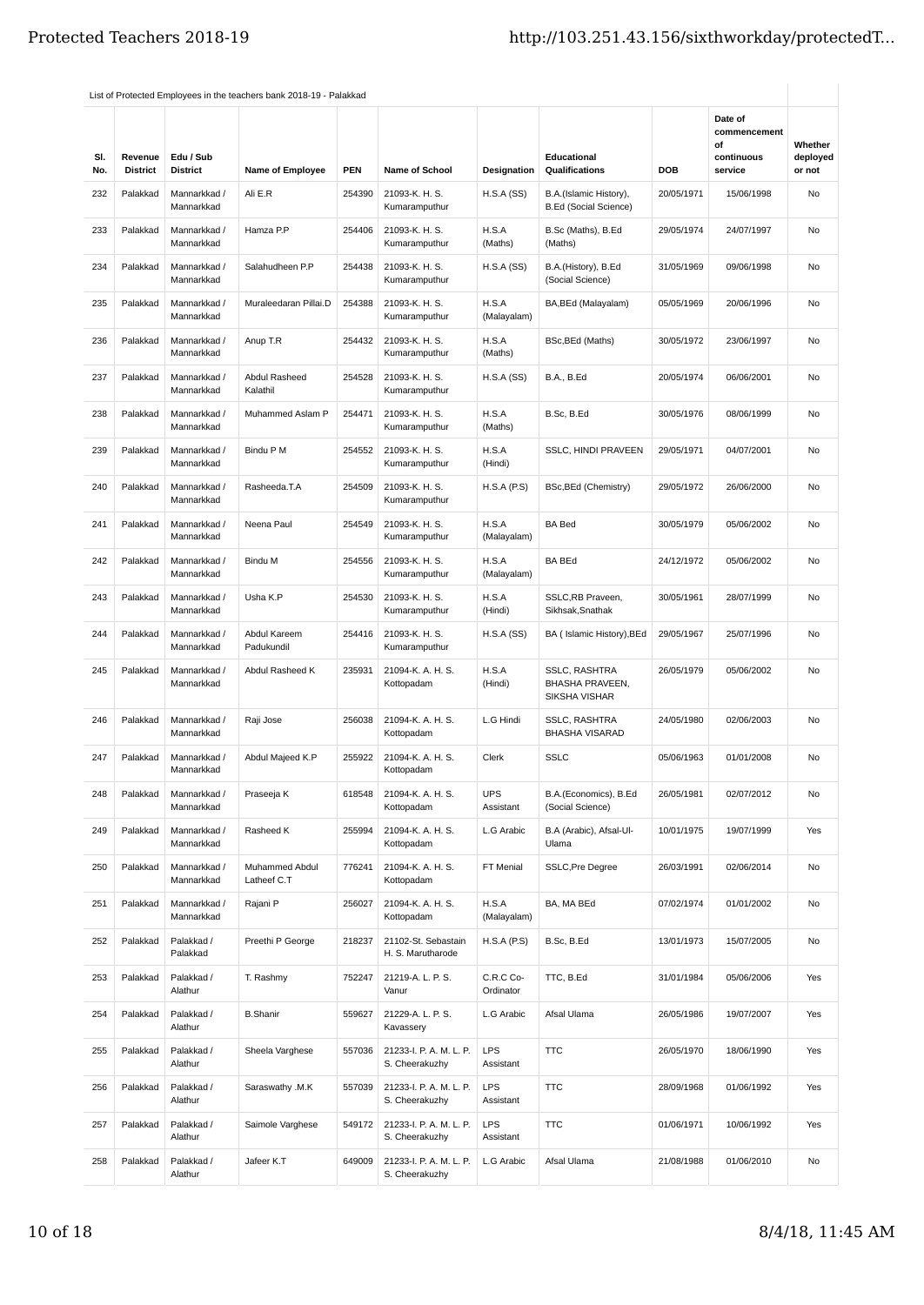| SI.<br>No. | Revenue<br><b>District</b> | Edu / Sub<br><b>District</b> | <b>Name of Employee</b>       | <b>PEN</b> | <b>Name of School</b>                     | <b>Designation</b>      | Educational<br>Qualifications                            | DOB        | Date of<br>commencement<br>οf<br>continuous<br>service | Whether<br>deployed<br>or not |
|------------|----------------------------|------------------------------|-------------------------------|------------|-------------------------------------------|-------------------------|----------------------------------------------------------|------------|--------------------------------------------------------|-------------------------------|
| 232        | Palakkad                   | Mannarkkad /<br>Mannarkkad   | Ali E.R                       | 254390     | 21093-K. H. S.<br>Kumaramputhur           | H.S.A(SS)               | B.A.(Islamic History),<br><b>B.Ed (Social Science)</b>   | 20/05/1971 | 15/06/1998                                             | No                            |
| 233        | Palakkad                   | Mannarkkad /<br>Mannarkkad   | Hamza P.P                     | 254406     | 21093-K. H. S.<br>Kumaramputhur           | H.S.A<br>(Maths)        | B.Sc (Maths), B.Ed<br>(Maths)                            | 29/05/1974 | 24/07/1997                                             | No                            |
| 234        | Palakkad                   | Mannarkkad /<br>Mannarkkad   | Salahudheen P.P               | 254438     | 21093-K. H. S.<br>Kumaramputhur           | H.S.A(SS)               | B.A.(History), B.Ed<br>(Social Science)                  | 31/05/1969 | 09/06/1998                                             | No                            |
| 235        | Palakkad                   | Mannarkkad /<br>Mannarkkad   | Muraleedaran Pillai.D         | 254388     | 21093-K. H. S.<br>Kumaramputhur           | H.S.A<br>(Malayalam)    | BA, BEd (Malayalam)                                      | 05/05/1969 | 20/06/1996                                             | No                            |
| 236        | Palakkad                   | Mannarkkad /<br>Mannarkkad   | Anup T.R                      | 254432     | 21093-K. H. S.<br>Kumaramputhur           | H.S.A<br>(Maths)        | BSc, BEd (Maths)                                         | 30/05/1972 | 23/06/1997                                             | No                            |
| 237        | Palakkad                   | Mannarkkad /<br>Mannarkkad   | Abdul Rasheed<br>Kalathil     | 254528     | 21093-K. H. S.<br>Kumaramputhur           | H.S.A(SS)               | <b>B.A., B.Ed</b>                                        | 20/05/1974 | 06/06/2001                                             | No                            |
| 238        | Palakkad                   | Mannarkkad /<br>Mannarkkad   | Muhammed Aslam P              | 254471     | 21093-K. H. S.<br>Kumaramputhur           | H.S.A<br>(Maths)        | B.Sc, B.Ed                                               | 30/05/1976 | 08/06/1999                                             | No                            |
| 239        | Palakkad                   | Mannarkkad /<br>Mannarkkad   | Bindu P M                     | 254552     | 21093-K. H. S.<br>Kumaramputhur           | H.S.A<br>(Hindi)        | SSLC, HINDI PRAVEEN                                      | 29/05/1971 | 04/07/2001                                             | <b>No</b>                     |
| 240        | Palakkad                   | Mannarkkad /<br>Mannarkkad   | Rasheeda.T.A                  | 254509     | 21093-K. H. S.<br>Kumaramputhur           | H.S.A(P.S)              | BSc, BEd (Chemistry)                                     | 29/05/1972 | 26/06/2000                                             | No                            |
| 241        | Palakkad                   | Mannarkkad /<br>Mannarkkad   | Neena Paul                    | 254549     | 21093-K. H. S.<br>Kumaramputhur           | H.S.A<br>(Malayalam)    | <b>BA Bed</b>                                            | 30/05/1979 | 05/06/2002                                             | No                            |
| 242        | Palakkad                   | Mannarkkad /<br>Mannarkkad   | Bindu M                       | 254556     | 21093-K. H. S.<br>Kumaramputhur           | H.S.A<br>(Malayalam)    | <b>BA BEd</b>                                            | 24/12/1972 | 05/06/2002                                             | No                            |
| 243        | Palakkad                   | Mannarkkad /<br>Mannarkkad   | Usha K.P                      | 254530     | 21093-K. H. S.<br>Kumaramputhur           | H.S.A<br>(Hindi)        | SSLC, RB Praveen,<br>Sikhsak, Snathak                    | 30/05/1961 | 28/07/1999                                             | No                            |
| 244        | Palakkad                   | Mannarkkad /<br>Mannarkkad   | Abdul Kareem<br>Padukundil    | 254416     | 21093-K. H. S.<br>Kumaramputhur           | H.S.A(SS)               | BA (Islamic History), BEd                                | 29/05/1967 | 25/07/1996                                             | No                            |
| 245        | Palakkad                   | Mannarkkad /<br>Mannarkkad   | Abdul Rasheed K               | 235931     | 21094-K. A. H. S.<br>Kottopadam           | H.S.A<br>(Hindi)        | <b>SSLC, RASHTRA</b><br>BHASHA PRAVEEN,<br>SIKSHA VISHAR | 26/05/1979 | 05/06/2002                                             | No                            |
| 246        | Palakkad                   | Mannarkkad /<br>Mannarkkad   | Raji Jose                     | 256038     | 21094-K. A. H. S.<br>Kottopadam           | L.G Hindi               | <b>SSLC, RASHTRA</b><br><b>BHASHA VISARAD</b>            | 24/05/1980 | 02/06/2003                                             | No                            |
| 247        | Palakkad                   | Mannarkkad /<br>Mannarkkad   | Abdul Majeed K.P              | 255922     | 21094-K. A. H. S.<br>Kottopadam           | Clerk                   | <b>SSLC</b>                                              | 05/06/1963 | 01/01/2008                                             | No                            |
| 248        | Palakkad                   | Mannarkkad /<br>Mannarkkad   | Praseeja K                    | 618548     | 21094-K. A. H. S.<br>Kottopadam           | <b>UPS</b><br>Assistant | B.A.(Economics), B.Ed<br>(Social Science)                | 26/05/1981 | 02/07/2012                                             | No                            |
| 249        | Palakkad                   | Mannarkkad /<br>Mannarkkad   | Rasheed K                     | 255994     | 21094-K. A. H. S.<br>Kottopadam           | L.G Arabic              | B.A (Arabic), Afsal-Ul-<br>Ulama                         | 10/01/1975 | 19/07/1999                                             | Yes                           |
| 250        | Palakkad                   | Mannarkkad /<br>Mannarkkad   | Muhammed Abdul<br>Latheef C.T | 776241     | 21094-K. A. H. S.<br>Kottopadam           | FT Menial               | <b>SSLC, Pre Degree</b>                                  | 26/03/1991 | 02/06/2014                                             | No                            |
| 251        | Palakkad                   | Mannarkkad /<br>Mannarkkad   | Rajani P                      | 256027     | 21094-K. A. H. S.<br>Kottopadam           | H.S.A<br>(Malayalam)    | BA, MA BEd                                               | 07/02/1974 | 01/01/2002                                             | No                            |
| 252        | Palakkad                   | Palakkad /<br>Palakkad       | Preethi P George              | 218237     | 21102-St. Sebastain<br>H. S. Marutharode  | H.S.A(P.S)              | B.Sc, B.Ed                                               | 13/01/1973 | 15/07/2005                                             | No                            |
| 253        | Palakkad                   | Palakkad /<br>Alathur        | T. Rashmy                     | 752247     | 21219-A. L. P. S.<br>Vanur                | C.R.C Co-<br>Ordinator  | TTC, B.Ed                                                | 31/01/1984 | 05/06/2006                                             | Yes                           |
| 254        | Palakkad                   | Palakkad /<br>Alathur        | <b>B.Shanir</b>               | 559627     | 21229-A. L. P. S.<br>Kavassery            | L.G Arabic              | Afsal Ulama                                              | 26/05/1986 | 19/07/2007                                             | Yes                           |
| 255        | Palakkad                   | Palakkad /<br>Alathur        | Sheela Varghese               | 557036     | 21233-I. P. A. M. L. P.<br>S. Cheerakuzhy | <b>LPS</b><br>Assistant | <b>TTC</b>                                               | 26/05/1970 | 18/06/1990                                             | Yes                           |
| 256        | Palakkad                   | Palakkad /<br>Alathur        | Saraswathy .M.K               | 557039     | 21233-I. P. A. M. L. P.<br>S. Cheerakuzhy | <b>LPS</b><br>Assistant | <b>TTC</b>                                               | 28/09/1968 | 01/06/1992                                             | Yes                           |
| 257        | Palakkad                   | Palakkad /<br>Alathur        | Saimole Varghese              | 549172     | 21233-I. P. A. M. L. P.<br>S. Cheerakuzhy | <b>LPS</b><br>Assistant | <b>TTC</b>                                               | 01/06/1971 | 10/06/1992                                             | Yes                           |
| 258        | Palakkad                   | Palakkad /<br>Alathur        | Jafeer K.T                    | 649009     | 21233-I. P. A. M. L. P.<br>S. Cheerakuzhy | L.G Arabic              | Afsal Ulama                                              | 21/08/1988 | 01/06/2010                                             | No                            |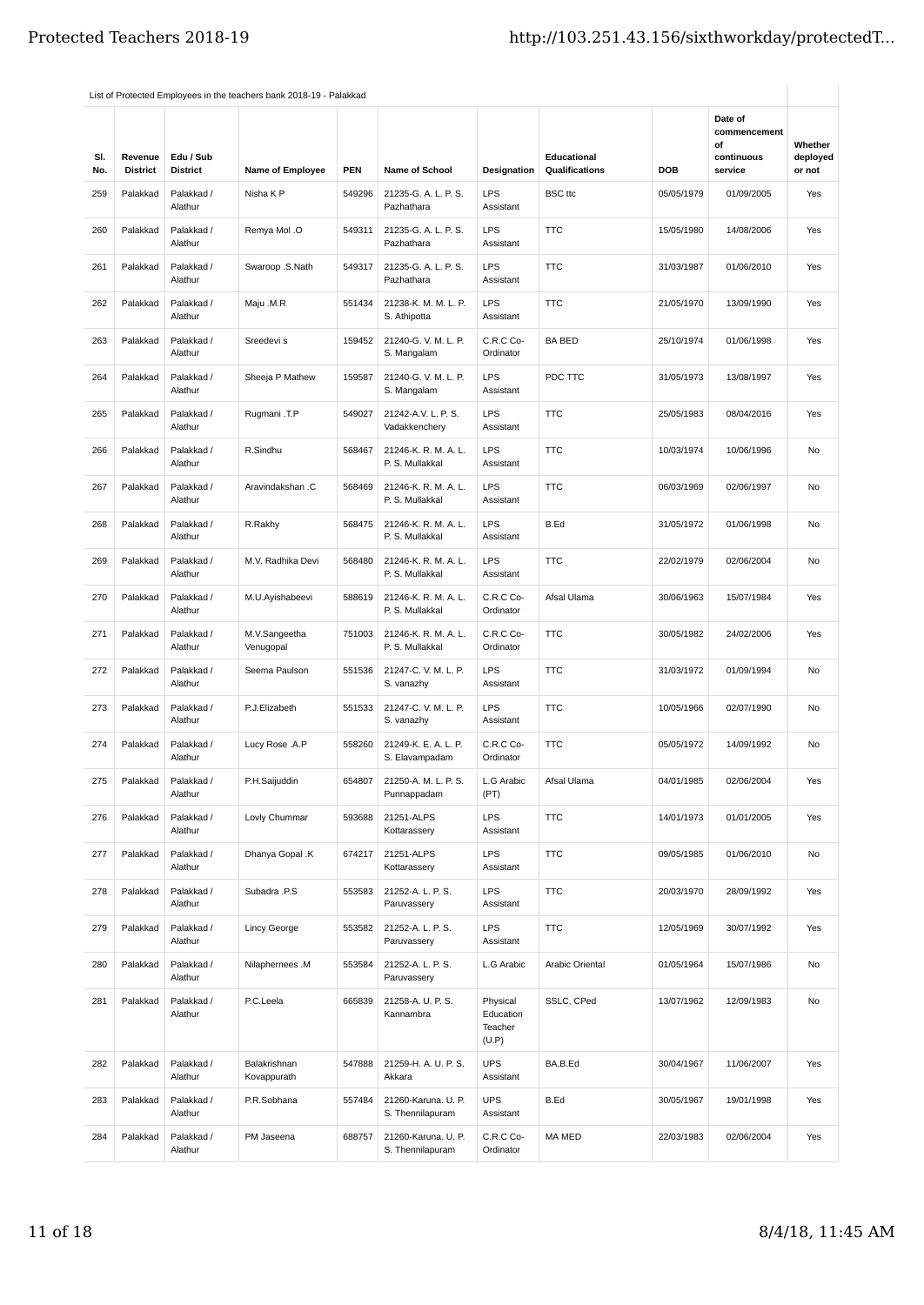|            |                            |                              | List of Protected Employees in the teachers bank 2018-19 - Palakkad |            |                                         |                                           |                                      |            |                                                        |                               |
|------------|----------------------------|------------------------------|---------------------------------------------------------------------|------------|-----------------------------------------|-------------------------------------------|--------------------------------------|------------|--------------------------------------------------------|-------------------------------|
| SI.<br>No. | Revenue<br><b>District</b> | Edu / Sub<br><b>District</b> | <b>Name of Employee</b>                                             | <b>PEN</b> | Name of School                          | Designation                               | Educational<br><b>Qualifications</b> | <b>DOB</b> | Date of<br>commencement<br>οf<br>continuous<br>service | Whether<br>deployed<br>or not |
| 259        | Palakkad                   | Palakkad /<br>Alathur        | Nisha K P                                                           | 549296     | 21235-G. A. L. P. S.<br>Pazhathara      | <b>LPS</b><br>Assistant                   | <b>BSC</b> ttc                       | 05/05/1979 | 01/09/2005                                             | Yes                           |
| 260        | Palakkad                   | Palakkad /<br>Alathur        | Remya Mol .O                                                        | 549311     | 21235-G. A. L. P. S.<br>Pazhathara      | <b>LPS</b><br>Assistant                   | <b>TTC</b>                           | 15/05/1980 | 14/08/2006                                             | Yes                           |
| 261        | Palakkad                   | Palakkad /<br>Alathur        | Swaroop .S.Nath                                                     | 549317     | 21235-G. A. L. P. S.<br>Pazhathara      | <b>LPS</b><br>Assistant                   | <b>TTC</b>                           | 31/03/1987 | 01/06/2010                                             | Yes                           |
| 262        | Palakkad                   | Palakkad /<br>Alathur        | Maju .M.R                                                           | 551434     | 21238-K. M. M. L. P.<br>S. Athipotta    | <b>LPS</b><br>Assistant                   | <b>TTC</b>                           | 21/05/1970 | 13/09/1990                                             | Yes                           |
| 263        | Palakkad                   | Palakkad /<br>Alathur        | Sreedevi s                                                          | 159452     | 21240-G. V. M. L. P.<br>S. Mangalam     | C.R.C Co-<br>Ordinator                    | <b>BA BED</b>                        | 25/10/1974 | 01/06/1998                                             | Yes                           |
| 264        | Palakkad                   | Palakkad /<br>Alathur        | Sheeja P Mathew                                                     | 159587     | 21240-G. V. M. L. P.<br>S. Mangalam     | <b>LPS</b><br>Assistant                   | PDC TTC                              | 31/05/1973 | 13/08/1997                                             | Yes                           |
| 265        | Palakkad                   | Palakkad /<br>Alathur        | Rugmani .T.P                                                        | 549027     | 21242-A.V. L. P. S.<br>Vadakkenchery    | <b>LPS</b><br>Assistant                   | <b>TTC</b>                           | 25/05/1983 | 08/04/2016                                             | Yes                           |
| 266        | Palakkad                   | Palakkad /<br>Alathur        | R.Sindhu                                                            | 568467     | 21246-K. R. M. A. L.<br>P. S. Mullakkal | <b>LPS</b><br>Assistant                   | <b>TTC</b>                           | 10/03/1974 | 10/06/1996                                             | <b>No</b>                     |
| 267        | Palakkad                   | Palakkad /<br>Alathur        | Aravindakshan .C                                                    | 568469     | 21246-K. R. M. A. L.<br>P. S. Mullakkal | <b>LPS</b><br>Assistant                   | <b>TTC</b>                           | 06/03/1969 | 02/06/1997                                             | No                            |
| 268        | Palakkad                   | Palakkad /<br>Alathur        | R.Rakhy                                                             | 568475     | 21246-K. R. M. A. L.<br>P. S. Mullakkal | <b>LPS</b><br>Assistant                   | B.Ed                                 | 31/05/1972 | 01/06/1998                                             | No                            |
| 269        | Palakkad                   | Palakkad /<br>Alathur        | M.V. Radhika Devi                                                   | 568480     | 21246-K. R. M. A. L.<br>P. S. Mullakkal | <b>LPS</b><br>Assistant                   | <b>TTC</b>                           | 22/02/1979 | 02/06/2004                                             | No                            |
| 270        | Palakkad                   | Palakkad /<br>Alathur        | M.U.Ayishabeevi                                                     | 588619     | 21246-K. R. M. A. L.<br>P. S. Mullakkal | C.R.C Co-<br>Ordinator                    | Afsal Ulama                          | 30/06/1963 | 15/07/1984                                             | Yes                           |
| 271        | Palakkad                   | Palakkad /<br>Alathur        | M.V.Sangeetha<br>Venugopal                                          | 751003     | 21246-K. R. M. A. L.<br>P. S. Mullakkal | C.R.C Co-<br>Ordinator                    | <b>TTC</b>                           | 30/05/1982 | 24/02/2006                                             | Yes                           |
| 272        | Palakkad                   | Palakkad /<br>Alathur        | Seema Paulson                                                       | 551536     | 21247-C.V.M.L.P.<br>S. vanazhy          | <b>LPS</b><br>Assistant                   | <b>TTC</b>                           | 31/03/1972 | 01/09/1994                                             | No                            |
| 273        | Palakkad                   | Palakkad /<br>Alathur        | P.J.Elizabeth                                                       | 551533     | 21247-C.V.M.L.P.<br>S. vanazhy          | <b>LPS</b><br>Assistant                   | <b>TTC</b>                           | 10/05/1966 | 02/07/1990                                             | No                            |
| 274        | Palakkad                   | Palakkad /<br>Alathur        | Lucy Rose .A.P                                                      | 558260     | 21249-K. E. A. L. P.<br>S. Elavampadam  | C.R.C Co-<br>Ordinator                    | <b>TTC</b>                           | 05/05/1972 | 14/09/1992                                             | No                            |
| 275        | Palakkad                   | Palakkad /<br>Alathur        | P.H.Saijuddin                                                       | 654807     | 21250-A. M. L. P. S.<br>Punnappadam     | L.G Arabic<br>(PT)                        | Afsal Ulama                          | 04/01/1985 | 02/06/2004                                             | Yes                           |
| 276        | Palakkad                   | Palakkad /<br>Alathur        | Lovly Chummar                                                       | 593688     | 21251-ALPS<br>Kottarassery              | <b>LPS</b><br>Assistant                   | <b>TTC</b>                           | 14/01/1973 | 01/01/2005                                             | Yes                           |
| 277        | Palakkad                   | Palakkad /<br>Alathur        | Dhanya Gopal .K                                                     | 674217     | 21251-ALPS<br>Kottarassery              | <b>LPS</b><br>Assistant                   | <b>TTC</b>                           | 09/05/1985 | 01/06/2010                                             | No                            |
| 278        | Palakkad                   | Palakkad /<br>Alathur        | Subadra .P.S                                                        | 553583     | 21252-A. L. P. S.<br>Paruvassery        | <b>LPS</b><br>Assistant                   | <b>TTC</b>                           | 20/03/1970 | 28/09/1992                                             | Yes                           |
| 279        | Palakkad                   | Palakkad /<br>Alathur        | <b>Lincy George</b>                                                 | 553582     | 21252-A. L. P. S.<br>Paruvassery        | <b>LPS</b><br>Assistant                   | <b>TTC</b>                           | 12/05/1969 | 30/07/1992                                             | Yes                           |
| 280        | Palakkad                   | Palakkad /<br>Alathur        | Nilaphernees .M                                                     | 553584     | 21252-A. L. P. S.<br>Paruvassery        | L.G Arabic                                | Arabic Oriental                      | 01/05/1964 | 15/07/1986                                             | No                            |
| 281        | Palakkad                   | Palakkad /<br>Alathur        | P.C.Leela                                                           | 665839     | 21258-A. U. P. S.<br>Kannambra          | Physical<br>Education<br>Teacher<br>(U.P) | SSLC, CPed                           | 13/07/1962 | 12/09/1983                                             | No                            |
| 282        | Palakkad                   | Palakkad /<br>Alathur        | Balakrishnan<br>Kovappurath                                         | 547888     | 21259-H. A. U. P. S.<br>Akkara          | <b>UPS</b><br>Assistant                   | BA,B.Ed                              | 30/04/1967 | 11/06/2007                                             | Yes                           |
| 283        | Palakkad                   | Palakkad /<br>Alathur        | P.R.Sobhana                                                         | 557484     | 21260-Karuna. U. P.<br>S. Thennilapuram | <b>UPS</b><br>Assistant                   | B.Ed                                 | 30/05/1967 | 19/01/1998                                             | Yes                           |
| 284        | Palakkad                   | Palakkad /<br>Alathur        | PM Jaseena                                                          | 688757     | 21260-Karuna. U. P.<br>S. Thennilapuram | C.R.C Co-<br>Ordinator                    | MA MED                               | 22/03/1983 | 02/06/2004                                             | Yes                           |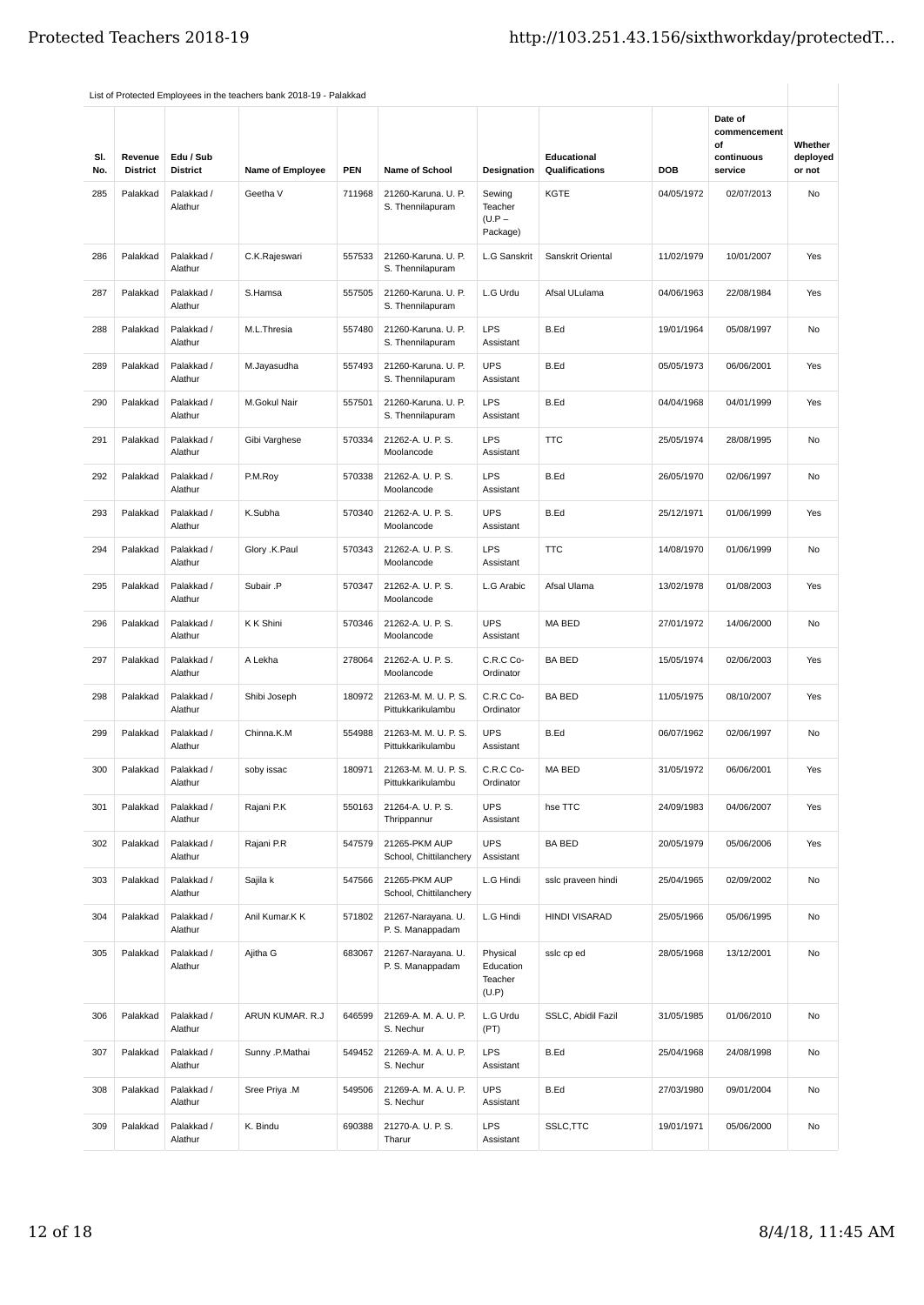| SI.<br>No. | Revenue<br><b>District</b> | Edu / Sub<br><b>District</b> | <b>Name of Employee</b> | <b>PEN</b> | <b>Name of School</b>                     | <b>Designation</b>                        | Educational<br>Qualifications | DOB        | Date of<br>commencement<br>οf<br>continuous<br>service | Whether<br>deployed<br>or not |
|------------|----------------------------|------------------------------|-------------------------|------------|-------------------------------------------|-------------------------------------------|-------------------------------|------------|--------------------------------------------------------|-------------------------------|
| 285        | Palakkad                   | Palakkad /<br>Alathur        | Geetha V                | 711968     | 21260-Karuna. U. P.<br>S. Thennilapuram   | Sewing<br>Teacher<br>$(U.P -$<br>Package) | KGTE                          | 04/05/1972 | 02/07/2013                                             | No                            |
| 286        | Palakkad                   | Palakkad /<br>Alathur        | C.K.Rajeswari           | 557533     | 21260-Karuna. U. P.<br>S. Thennilapuram   | L.G Sanskrit                              | Sanskrit Oriental             | 11/02/1979 | 10/01/2007                                             | Yes                           |
| 287        | Palakkad                   | Palakkad /<br>Alathur        | S.Hamsa                 | 557505     | 21260-Karuna. U. P.<br>S. Thennilapuram   | L.G Urdu                                  | Afsal ULulama                 | 04/06/1963 | 22/08/1984                                             | Yes                           |
| 288        | Palakkad                   | Palakkad /<br>Alathur        | M.L.Thresia             | 557480     | 21260-Karuna. U. P.<br>S. Thennilapuram   | <b>LPS</b><br>Assistant                   | B.Ed                          | 19/01/1964 | 05/08/1997                                             | No                            |
| 289        | Palakkad                   | Palakkad /<br>Alathur        | M.Jayasudha             | 557493     | 21260-Karuna. U. P.<br>S. Thennilapuram   | <b>UPS</b><br>Assistant                   | B.Ed                          | 05/05/1973 | 06/06/2001                                             | Yes                           |
| 290        | Palakkad                   | Palakkad /<br>Alathur        | M.Gokul Nair            | 557501     | 21260-Karuna. U. P.<br>S. Thennilapuram   | <b>LPS</b><br>Assistant                   | B.Ed                          | 04/04/1968 | 04/01/1999                                             | Yes                           |
| 291        | Palakkad                   | Palakkad /<br>Alathur        | Gibi Varghese           | 570334     | 21262-A. U. P. S.<br>Moolancode           | <b>LPS</b><br>Assistant                   | <b>TTC</b>                    | 25/05/1974 | 28/08/1995                                             | No                            |
| 292        | Palakkad                   | Palakkad /<br>Alathur        | P.M.Roy                 | 570338     | 21262-A. U. P. S.<br>Moolancode           | <b>LPS</b><br>Assistant                   | B.Ed                          | 26/05/1970 | 02/06/1997                                             | No                            |
| 293        | Palakkad                   | Palakkad /<br>Alathur        | K.Subha                 | 570340     | 21262-A. U. P. S.<br>Moolancode           | <b>UPS</b><br>Assistant                   | B.Ed                          | 25/12/1971 | 01/06/1999                                             | Yes                           |
| 294        | Palakkad                   | Palakkad /<br>Alathur        | Glory .K.Paul           | 570343     | 21262-A. U. P. S.<br>Moolancode           | <b>LPS</b><br>Assistant                   | <b>TTC</b>                    | 14/08/1970 | 01/06/1999                                             | No                            |
| 295        | Palakkad                   | Palakkad /<br>Alathur        | Subair .P               | 570347     | 21262-A. U. P. S.<br>Moolancode           | L.G Arabic                                | Afsal Ulama                   | 13/02/1978 | 01/08/2003                                             | Yes                           |
| 296        | Palakkad                   | Palakkad /<br>Alathur        | K K Shini               | 570346     | 21262-A. U. P. S.<br>Moolancode           | <b>UPS</b><br>Assistant                   | MA BED                        | 27/01/1972 | 14/06/2000                                             | No                            |
| 297        | Palakkad                   | Palakkad /<br>Alathur        | A Lekha                 | 278064     | 21262-A. U. P. S.<br>Moolancode           | C.R.C Co-<br>Ordinator                    | <b>BA BED</b>                 | 15/05/1974 | 02/06/2003                                             | Yes                           |
| 298        | Palakkad                   | Palakkad /<br>Alathur        | Shibi Joseph            | 180972     | 21263-M. M. U. P. S.<br>Pittukkarikulambu | C.R.C Co-<br>Ordinator                    | <b>BA BED</b>                 | 11/05/1975 | 08/10/2007                                             | Yes                           |
| 299        | Palakkad                   | Palakkad /<br>Alathur        | Chinna.K.M              | 554988     | 21263-M. M. U. P. S.<br>Pittukkarikulambu | <b>UPS</b><br>Assistant                   | B.Ed                          | 06/07/1962 | 02/06/1997                                             | No                            |
| 300        | Palakkad                   | Palakkad /<br>Alathur        | soby issac              | 180971     | 21263-M. M. U. P. S.<br>Pittukkarikulambu | C.R.C Co-<br>Ordinator                    | MA BED                        | 31/05/1972 | 06/06/2001                                             | Yes                           |
| 301        | Palakkad                   | Palakkad /<br>Alathur        | Rajani P.K              | 550163     | 21264-A. U. P. S.<br>Thrippannur          | <b>UPS</b><br>Assistant                   | hse TTC                       | 24/09/1983 | 04/06/2007                                             | Yes                           |
| 302        | Palakkad                   | Palakkad /<br>Alathur        | Rajani P.R              | 547579     | 21265-PKM AUP<br>School, Chittilanchery   | <b>UPS</b><br>Assistant                   | <b>BA BED</b>                 | 20/05/1979 | 05/06/2006                                             | Yes                           |
| 303        | Palakkad                   | Palakkad /<br>Alathur        | Sajila k                | 547566     | 21265-PKM AUP<br>School, Chittilanchery   | L.G Hindi                                 | sslc praveen hindi            | 25/04/1965 | 02/09/2002                                             | No                            |
| 304        | Palakkad                   | Palakkad /<br>Alathur        | Anil Kumar.K K          | 571802     | 21267-Narayana. U.<br>P. S. Manappadam    | L.G Hindi                                 | <b>HINDI VISARAD</b>          | 25/05/1966 | 05/06/1995                                             | No                            |
| 305        | Palakkad                   | Palakkad /<br>Alathur        | Ajitha G                | 683067     | 21267-Narayana. U.<br>P. S. Manappadam    | Physical<br>Education<br>Teacher<br>(U.P) | sslc cp ed                    | 28/05/1968 | 13/12/2001                                             | No                            |
| 306        | Palakkad                   | Palakkad /<br>Alathur        | ARUN KUMAR. R.J         | 646599     | 21269-A. M. A. U. P.<br>S. Nechur         | L.G Urdu<br>(PT)                          | SSLC, Abidil Fazil            | 31/05/1985 | 01/06/2010                                             | No                            |
| 307        | Palakkad                   | Palakkad /<br>Alathur        | Sunny .P.Mathai         | 549452     | 21269-A. M. A. U. P.<br>S. Nechur         | <b>LPS</b><br>Assistant                   | B.Ed                          | 25/04/1968 | 24/08/1998                                             | No                            |
| 308        | Palakkad                   | Palakkad /<br>Alathur        | Sree Priya .M           | 549506     | 21269-A. M. A. U. P.<br>S. Nechur         | <b>UPS</b><br>Assistant                   | B.Ed                          | 27/03/1980 | 09/01/2004                                             | No                            |
| 309        | Palakkad                   | Palakkad /<br>Alathur        | K. Bindu                | 690388     | 21270-A. U. P. S.<br>Tharur               | <b>LPS</b><br>Assistant                   | SSLC, TTC                     | 19/01/1971 | 05/06/2000                                             | No                            |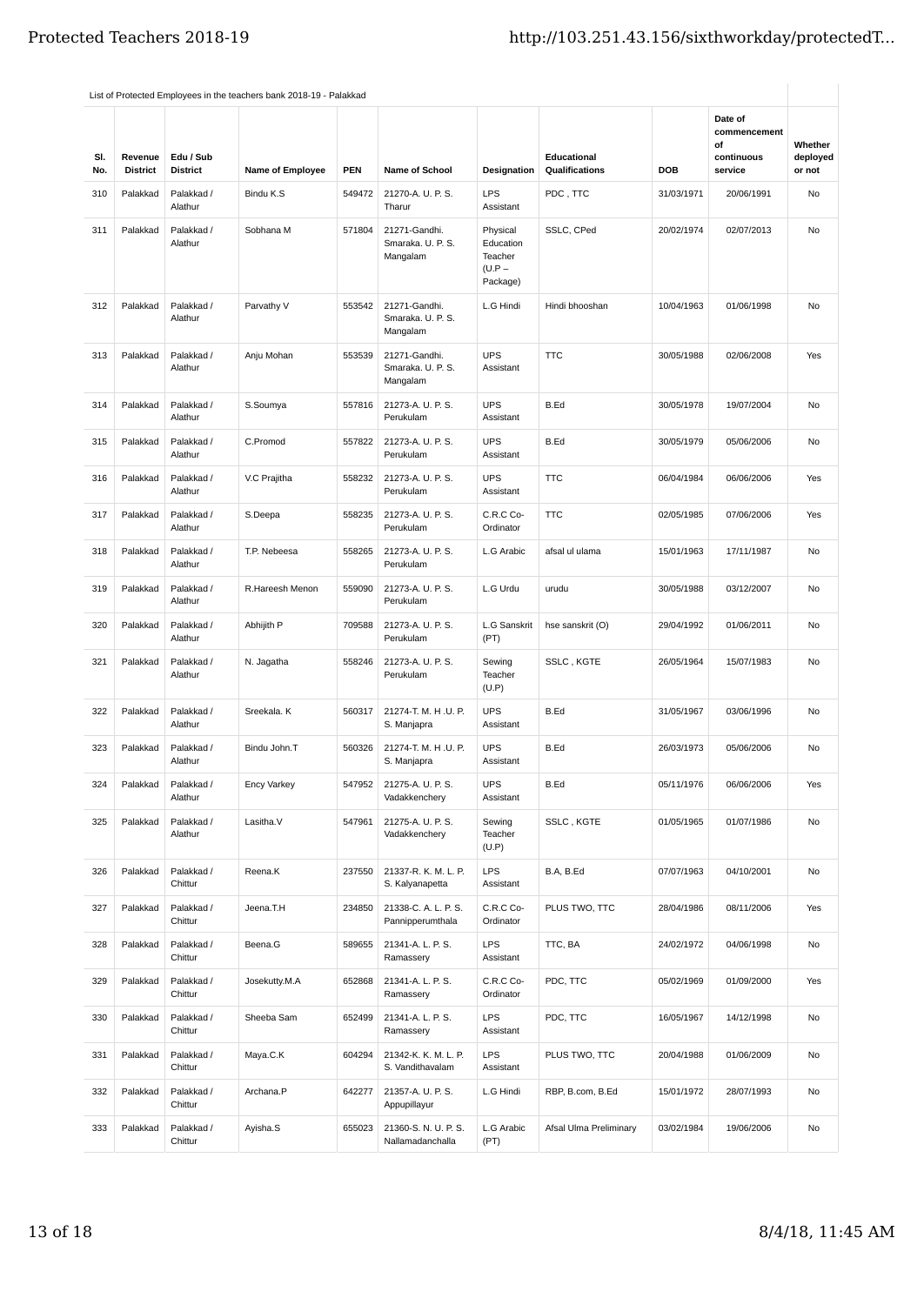| SI.<br>No. | Revenue<br><b>District</b> | Edu / Sub<br><b>District</b> | <b>Name of Employee</b> | <b>PEN</b> | <b>Name of School</b>                          | Designation                                              | Educational<br>Qualifications | <b>DOB</b> | Date of<br>commencement<br>οf<br>continuous<br>service | Whether<br>deployed<br>or not |
|------------|----------------------------|------------------------------|-------------------------|------------|------------------------------------------------|----------------------------------------------------------|-------------------------------|------------|--------------------------------------------------------|-------------------------------|
| 310        | Palakkad                   | Palakkad /<br>Alathur        | Bindu K.S               | 549472     | 21270-A. U. P. S.<br>Tharur                    | <b>LPS</b><br>Assistant                                  | PDC, TTC                      | 31/03/1971 | 20/06/1991                                             | No                            |
| 311        | Palakkad                   | Palakkad /<br>Alathur        | Sobhana M               | 571804     | 21271-Gandhi.<br>Smaraka, U. P. S.<br>Mangalam | Physical<br>Education<br>Teacher<br>$(U.P -$<br>Package) | SSLC, CPed                    | 20/02/1974 | 02/07/2013                                             | No                            |
| 312        | Palakkad                   | Palakkad /<br>Alathur        | Parvathy V              | 553542     | 21271-Gandhi.<br>Smaraka. U. P. S.<br>Mangalam | L.G Hindi                                                | Hindi bhooshan                | 10/04/1963 | 01/06/1998                                             | No                            |
| 313        | Palakkad                   | Palakkad /<br>Alathur        | Anju Mohan              | 553539     | 21271-Gandhi.<br>Smaraka. U. P. S.<br>Mangalam | <b>UPS</b><br>Assistant                                  | <b>TTC</b>                    | 30/05/1988 | 02/06/2008                                             | Yes                           |
| 314        | Palakkad                   | Palakkad /<br>Alathur        | S.Soumya                | 557816     | 21273-A. U. P. S.<br>Perukulam                 | <b>UPS</b><br>Assistant                                  | B.Ed                          | 30/05/1978 | 19/07/2004                                             | No                            |
| 315        | Palakkad                   | Palakkad /<br>Alathur        | C.Promod                | 557822     | 21273-A. U. P. S.<br>Perukulam                 | <b>UPS</b><br>Assistant                                  | B.Ed                          | 30/05/1979 | 05/06/2006                                             | No                            |
| 316        | Palakkad                   | Palakkad /<br>Alathur        | V.C Prajitha            | 558232     | 21273-A. U. P. S.<br>Perukulam                 | <b>UPS</b><br>Assistant                                  | <b>TTC</b>                    | 06/04/1984 | 06/06/2006                                             | Yes                           |
| 317        | Palakkad                   | Palakkad /<br>Alathur        | S.Deepa                 | 558235     | 21273-A. U. P. S.<br>Perukulam                 | C.R.C Co-<br>Ordinator                                   | <b>TTC</b>                    | 02/05/1985 | 07/06/2006                                             | Yes                           |
| 318        | Palakkad                   | Palakkad /<br>Alathur        | T.P. Nebeesa            | 558265     | 21273-A. U. P. S.<br>Perukulam                 | L.G Arabic                                               | afsal ul ulama                | 15/01/1963 | 17/11/1987                                             | No                            |
| 319        | Palakkad                   | Palakkad /<br>Alathur        | R.Hareesh Menon         | 559090     | 21273-A. U. P. S.<br>Perukulam                 | L.G Urdu                                                 | urudu                         | 30/05/1988 | 03/12/2007                                             | No                            |
| 320        | Palakkad                   | Palakkad /<br>Alathur        | Abhijith P              | 709588     | 21273-A. U. P. S.<br>Perukulam                 | <b>L.G Sanskrit</b><br>(PT)                              | hse sanskrit (O)              | 29/04/1992 | 01/06/2011                                             | No                            |
| 321        | Palakkad                   | Palakkad /<br>Alathur        | N. Jagatha              | 558246     | 21273-A. U. P. S.<br>Perukulam                 | Sewing<br>Teacher<br>(U.P)                               | SSLC, KGTE                    | 26/05/1964 | 15/07/1983                                             | No                            |
| 322        | Palakkad                   | Palakkad /<br>Alathur        | Sreekala. K             | 560317     | 21274-T. M. H.U. P.<br>S. Manjapra             | <b>UPS</b><br>Assistant                                  | B.Ed                          | 31/05/1967 | 03/06/1996                                             | <b>No</b>                     |
| 323        | Palakkad                   | Palakkad /<br>Alathur        | Bindu John.T            | 560326     | 21274-T. M. H.U. P.<br>S. Manjapra             | <b>UPS</b><br>Assistant                                  | B.Ed                          | 26/03/1973 | 05/06/2006                                             | <b>No</b>                     |
| 324        | Palakkad                   | Palakkad /<br>Alathur        | Ency Varkey             | 547952     | 21275-A. U. P. S.<br>Vadakkenchery             | <b>UPS</b><br>Assistant                                  | B.Ed                          | 05/11/1976 | 06/06/2006                                             | Yes                           |
| 325        | Palakkad                   | Palakkad /<br>Alathur        | Lasitha.V               | 547961     | 21275-A. U. P. S.<br>Vadakkenchery             | Sewing<br>Teacher<br>(U.P)                               | SSLC, KGTE                    | 01/05/1965 | 01/07/1986                                             | No                            |
| 326        | Palakkad                   | Palakkad /<br>Chittur        | Reena.K                 | 237550     | 21337-R. K. M. L. P.<br>S. Kalyanapetta        | <b>LPS</b><br>Assistant                                  | B.A, B.Ed                     | 07/07/1963 | 04/10/2001                                             | No                            |
| 327        | Palakkad                   | Palakkad /<br>Chittur        | Jeena.T.H               | 234850     | 21338-C. A. L. P. S.<br>Pannipperumthala       | C.R.C Co-<br>Ordinator                                   | PLUS TWO, TTC                 | 28/04/1986 | 08/11/2006                                             | Yes                           |
| 328        | Palakkad                   | Palakkad /<br>Chittur        | Beena.G                 | 589655     | 21341-A. L. P. S.<br>Ramassery                 | <b>LPS</b><br>Assistant                                  | TTC, BA                       | 24/02/1972 | 04/06/1998                                             | No                            |
| 329        | Palakkad                   | Palakkad /<br>Chittur        | Josekutty.M.A           | 652868     | 21341-A. L. P. S.<br>Ramassery                 | C.R.C Co-<br>Ordinator                                   | PDC, TTC                      | 05/02/1969 | 01/09/2000                                             | Yes                           |
| 330        | Palakkad                   | Palakkad /<br>Chittur        | Sheeba Sam              | 652499     | 21341-A. L. P. S.<br>Ramassery                 | <b>LPS</b><br>Assistant                                  | PDC, TTC                      | 16/05/1967 | 14/12/1998                                             | No                            |
| 331        | Palakkad                   | Palakkad /<br>Chittur        | Maya.C.K                | 604294     | 21342-K. K. M. L. P.<br>S. Vandithavalam       | <b>LPS</b><br>Assistant                                  | PLUS TWO, TTC                 | 20/04/1988 | 01/06/2009                                             | No                            |
| 332        | Palakkad                   | Palakkad /<br>Chittur        | Archana.P               | 642277     | 21357-A. U. P. S.<br>Appupillayur              | L.G Hindi                                                | RBP, B.com, B.Ed              | 15/01/1972 | 28/07/1993                                             | No                            |
| 333        | Palakkad                   | Palakkad /<br>Chittur        | Ayisha.S                | 655023     | 21360-S. N. U. P. S.<br>Nallamadanchalla       | L.G Arabic<br>(PT)                                       | Afsal Ulma Preliminary        | 03/02/1984 | 19/06/2006                                             | No                            |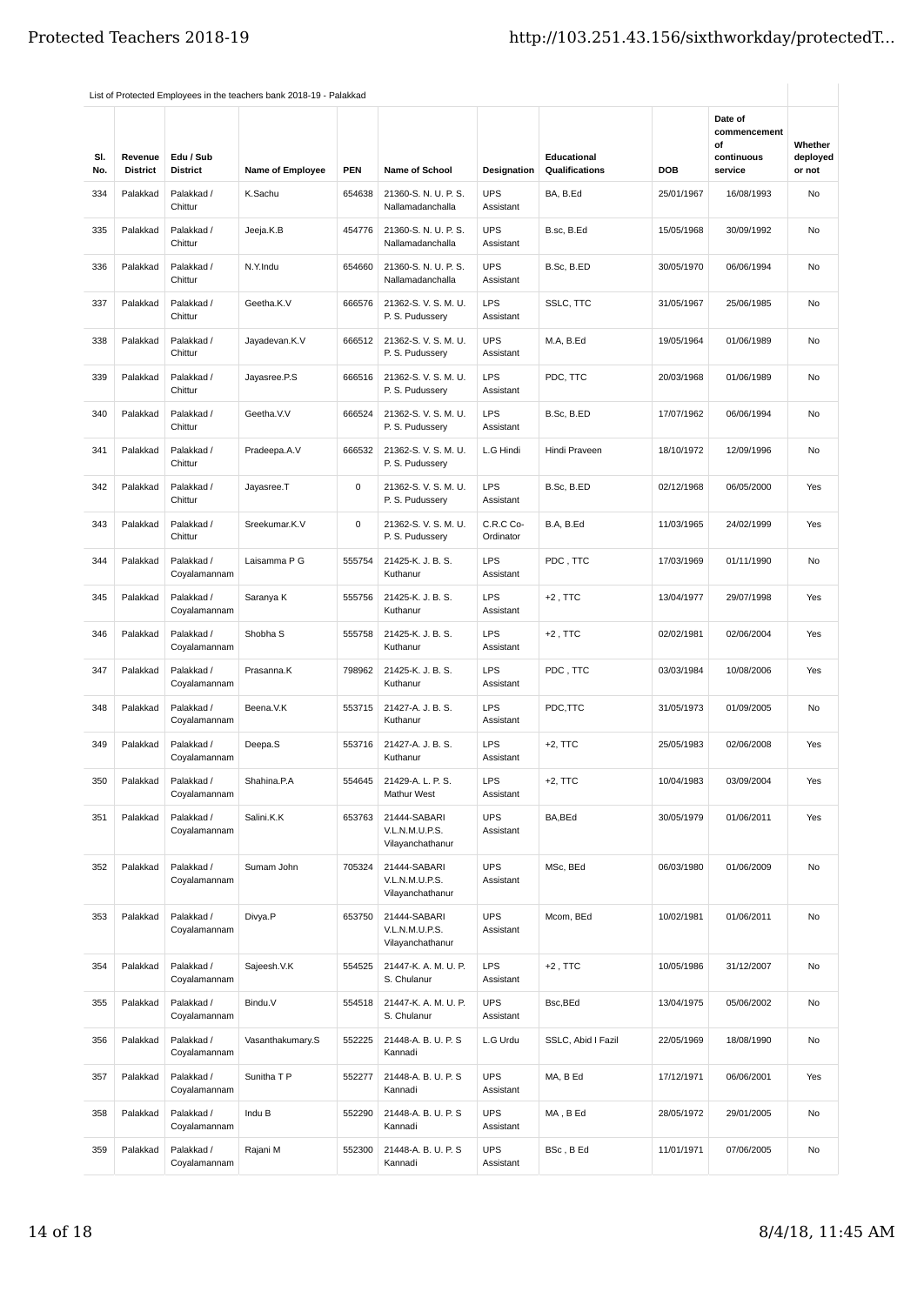|            |                            |                              |                         |            |                                                    |                         |                               |            | Date of                                     |                               |
|------------|----------------------------|------------------------------|-------------------------|------------|----------------------------------------------------|-------------------------|-------------------------------|------------|---------------------------------------------|-------------------------------|
| SI.<br>No. | Revenue<br><b>District</b> | Edu / Sub<br><b>District</b> | <b>Name of Employee</b> | <b>PEN</b> | Name of School                                     | Designation             | Educational<br>Qualifications | <b>DOB</b> | commencement<br>οf<br>continuous<br>service | Whether<br>deployed<br>or not |
| 334        | Palakkad                   | Palakkad /<br>Chittur        | K.Sachu                 | 654638     | 21360-S. N. U. P. S.<br>Nallamadanchalla           | <b>UPS</b><br>Assistant | BA, B.Ed                      | 25/01/1967 | 16/08/1993                                  | No                            |
| 335        | Palakkad                   | Palakkad /<br>Chittur        | Jeeja.K.B               | 454776     | 21360-S. N. U. P. S.<br>Nallamadanchalla           | <b>UPS</b><br>Assistant | B.sc, B.Ed                    | 15/05/1968 | 30/09/1992                                  | No                            |
| 336        | Palakkad                   | Palakkad /<br>Chittur        | N.Y.Indu                | 654660     | 21360-S. N. U. P. S.<br>Nallamadanchalla           | <b>UPS</b><br>Assistant | B.Sc, B.ED                    | 30/05/1970 | 06/06/1994                                  | No                            |
| 337        | Palakkad                   | Palakkad /<br>Chittur        | Geetha.K.V              | 666576     | 21362-S. V. S. M. U.<br>P. S. Pudussery            | <b>LPS</b><br>Assistant | SSLC, TTC                     | 31/05/1967 | 25/06/1985                                  | No                            |
| 338        | Palakkad                   | Palakkad /<br>Chittur        | Jayadevan.K.V           | 666512     | 21362-S.V.S.M.U.<br>P. S. Pudussery                | <b>UPS</b><br>Assistant | M.A, B.Ed                     | 19/05/1964 | 01/06/1989                                  | No                            |
| 339        | Palakkad                   | Palakkad /<br>Chittur        | Jayasree.P.S            | 666516     | 21362-S.V.S.M.U.<br>P. S. Pudussery                | <b>LPS</b><br>Assistant | PDC, TTC                      | 20/03/1968 | 01/06/1989                                  | No                            |
| 340        | Palakkad                   | Palakkad /<br>Chittur        | Geetha.V.V              | 666524     | 21362-S.V.S.M.U.<br>P. S. Pudussery                | <b>LPS</b><br>Assistant | B.Sc, B.ED                    | 17/07/1962 | 06/06/1994                                  | <b>No</b>                     |
| 341        | Palakkad                   | Palakkad /<br>Chittur        | Pradeepa.A.V            | 666532     | 21362-S.V.S.M.U.<br>P. S. Pudussery                | L.G Hindi               | Hindi Praveen                 | 18/10/1972 | 12/09/1996                                  | <b>No</b>                     |
| 342        | Palakkad                   | Palakkad /<br>Chittur        | Jayasree.T              | 0          | 21362-S.V.S.M.U.<br>P. S. Pudussery                | <b>LPS</b><br>Assistant | B.Sc, B.ED                    | 02/12/1968 | 06/05/2000                                  | Yes                           |
| 343        | Palakkad                   | Palakkad /<br>Chittur        | Sreekumar.K.V           | 0          | 21362-S.V.S.M.U.<br>P. S. Pudussery                | C.R.C Co-<br>Ordinator  | B.A, B.Ed                     | 11/03/1965 | 24/02/1999                                  | Yes                           |
| 344        | Palakkad                   | Palakkad /<br>Coyalamannam   | Laisamma P G            | 555754     | 21425-K. J. B. S.<br>Kuthanur                      | <b>LPS</b><br>Assistant | PDC, TTC                      | 17/03/1969 | 01/11/1990                                  | No                            |
| 345        | Palakkad                   | Palakkad /<br>Coyalamannam   | Saranya K               | 555756     | 21425-K. J. B. S.<br>Kuthanur                      | <b>LPS</b><br>Assistant | $+2$ , TTC                    | 13/04/1977 | 29/07/1998                                  | Yes                           |
| 346        | Palakkad                   | Palakkad /<br>Coyalamannam   | Shobha <sub>S</sub>     | 555758     | 21425-K. J. B. S.<br>Kuthanur                      | <b>LPS</b><br>Assistant | $+2$ , TTC                    | 02/02/1981 | 02/06/2004                                  | Yes                           |
| 347        | Palakkad                   | Palakkad /<br>Coyalamannam   | Prasanna.K              | 798962     | 21425-K. J. B. S.<br>Kuthanur                      | <b>LPS</b><br>Assistant | PDC, TTC                      | 03/03/1984 | 10/08/2006                                  | Yes                           |
| 348        | Palakkad                   | Palakkad /<br>Coyalamannam   | Beena.V.K               | 553715     | 21427-A. J. B. S.<br>Kuthanur                      | <b>LPS</b><br>Assistant | PDC,TTC                       | 31/05/1973 | 01/09/2005                                  | No                            |
| 349        | Palakkad                   | Palakkad /<br>Coyalamannam   | Deepa.S                 | 553716     | 21427-A. J. B. S.<br>Kuthanur                      | <b>LPS</b><br>Assistant | $+2$ , TTC                    | 25/05/1983 | 02/06/2008                                  | Yes                           |
| 350        | Palakkad                   | Palakkad /<br>Coyalamannam   | Shahina.P.A             | 554645     | 21429-A. L. P. S.<br>Mathur West                   | LPS<br>Assistant        | +2, TTC                       | 10/04/1983 | 03/09/2004                                  | Yes                           |
| 351        | Palakkad                   | Palakkad /<br>Coyalamannam   | Salini.K.K              | 653763     | 21444-SABARI<br>V.L.N.M.U.P.S.<br>Vilayanchathanur | <b>UPS</b><br>Assistant | BA, BEd                       | 30/05/1979 | 01/06/2011                                  | Yes                           |
| 352        | Palakkad                   | Palakkad /<br>Coyalamannam   | Sumam John              | 705324     | 21444-SABARI<br>V.L.N.M.U.P.S.<br>Vilayanchathanur | <b>UPS</b><br>Assistant | MSc, BEd                      | 06/03/1980 | 01/06/2009                                  | No                            |
| 353        | Palakkad                   | Palakkad /<br>Coyalamannam   | Divya.P                 | 653750     | 21444-SABARI<br>V.L.N.M.U.P.S.<br>Vilayanchathanur | <b>UPS</b><br>Assistant | Mcom, BEd                     | 10/02/1981 | 01/06/2011                                  | No                            |
| 354        | Palakkad                   | Palakkad /<br>Coyalamannam   | Sajeesh.V.K             | 554525     | 21447-K. A. M. U. P.<br>S. Chulanur                | <b>LPS</b><br>Assistant | $+2$ , TTC                    | 10/05/1986 | 31/12/2007                                  | No                            |
| 355        | Palakkad                   | Palakkad /<br>Coyalamannam   | Bindu.V                 | 554518     | 21447-K. A. M. U. P.<br>S. Chulanur                | <b>UPS</b><br>Assistant | Bsc, BEd                      | 13/04/1975 | 05/06/2002                                  | No                            |
| 356        | Palakkad                   | Palakkad /<br>Coyalamannam   | Vasanthakumary.S        | 552225     | 21448-A. B. U. P. S<br>Kannadi                     | L.G Urdu                | SSLC, Abid I Fazil            | 22/05/1969 | 18/08/1990                                  | No                            |
| 357        | Palakkad                   | Palakkad /<br>Coyalamannam   | Sunitha T P             | 552277     | 21448-A. B. U. P. S<br>Kannadi                     | <b>UPS</b><br>Assistant | MA, B Ed                      | 17/12/1971 | 06/06/2001                                  | Yes                           |
| 358        | Palakkad                   | Palakkad /<br>Coyalamannam   | Indu B                  | 552290     | 21448-A. B. U. P. S<br>Kannadi                     | <b>UPS</b><br>Assistant | MA, B Ed                      | 28/05/1972 | 29/01/2005                                  | No                            |
| 359        | Palakkad                   | Palakkad /<br>Coyalamannam   | Rajani M                | 552300     | 21448-A. B. U. P. S<br>Kannadi                     | <b>UPS</b><br>Assistant | BSc, BEd                      | 11/01/1971 | 07/06/2005                                  | No                            |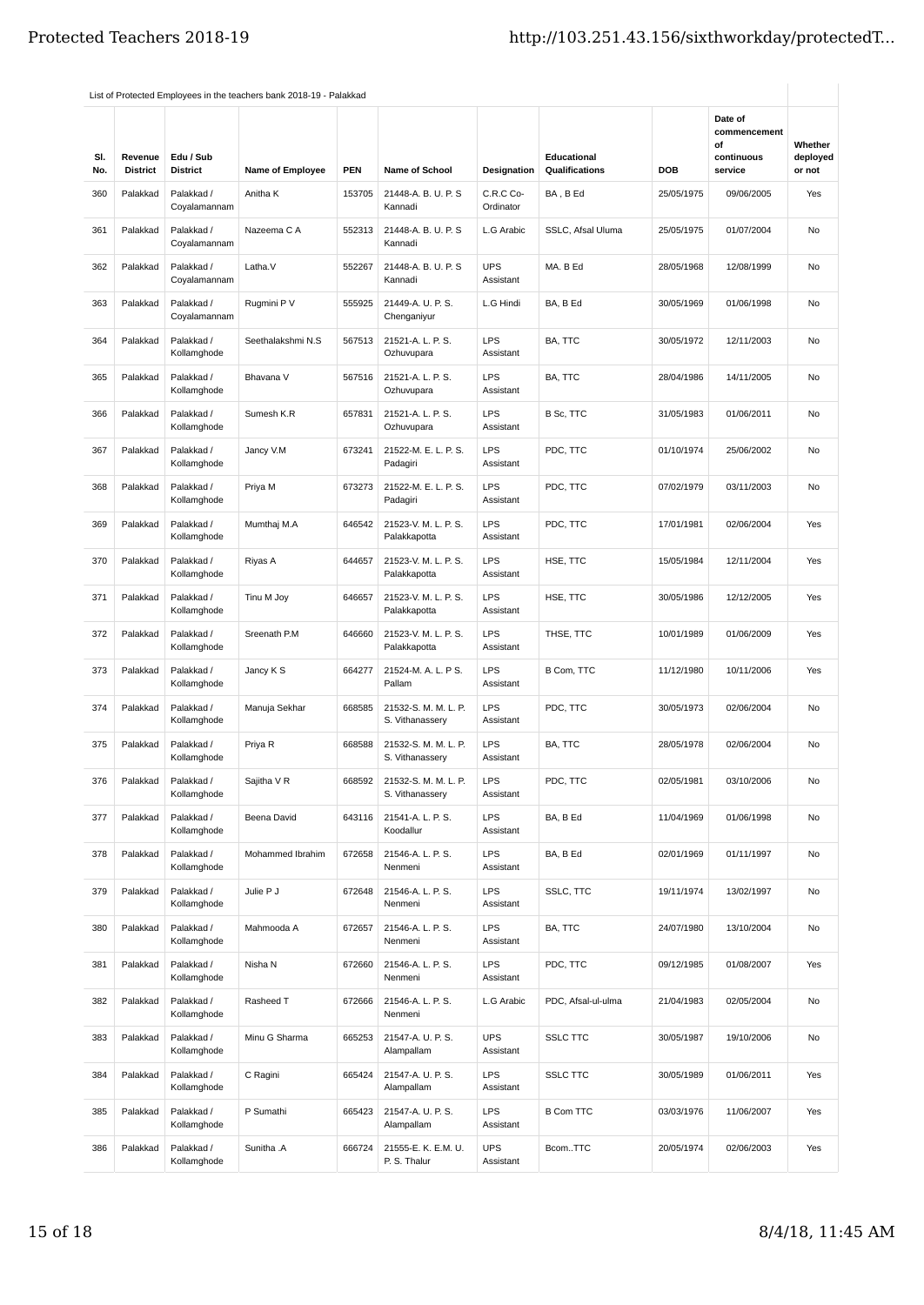|            |                            |                              |                         |            |                                         |                         |                                      |            | Date of                                     |                               |
|------------|----------------------------|------------------------------|-------------------------|------------|-----------------------------------------|-------------------------|--------------------------------------|------------|---------------------------------------------|-------------------------------|
| SI.<br>No. | Revenue<br><b>District</b> | Edu / Sub<br><b>District</b> | <b>Name of Employee</b> | <b>PEN</b> | Name of School                          | <b>Designation</b>      | <b>Educational</b><br>Qualifications | <b>DOB</b> | commencement<br>οf<br>continuous<br>service | Whether<br>deployed<br>or not |
| 360        | Palakkad                   | Palakkad /<br>Coyalamannam   | Anitha K                | 153705     | 21448-A. B. U. P. S<br>Kannadi          | C.R.C Co-<br>Ordinator  | BA, B Ed                             | 25/05/1975 | 09/06/2005                                  | Yes                           |
| 361        | Palakkad                   | Palakkad /<br>Coyalamannam   | Nazeema C A             | 552313     | 21448-A. B. U. P. S<br>Kannadi          | L.G Arabic              | SSLC, Afsal Uluma                    | 25/05/1975 | 01/07/2004                                  | No                            |
| 362        | Palakkad                   | Palakkad /<br>Coyalamannam   | Latha.V                 | 552267     | 21448-A. B. U. P. S<br>Kannadi          | <b>UPS</b><br>Assistant | MA. B Ed                             | 28/05/1968 | 12/08/1999                                  | No                            |
| 363        | Palakkad                   | Palakkad /<br>Coyalamannam   | Rugmini P V             | 555925     | 21449-A. U. P. S.<br>Chenganiyur        | L.G Hindi               | BA, B Ed                             | 30/05/1969 | 01/06/1998                                  | No                            |
| 364        | Palakkad                   | Palakkad /<br>Kollamghode    | Seethalakshmi N.S       | 567513     | 21521-A. L. P. S.<br>Ozhuvupara         | <b>LPS</b><br>Assistant | BA, TTC                              | 30/05/1972 | 12/11/2003                                  | No                            |
| 365        | Palakkad                   | Palakkad /<br>Kollamghode    | Bhavana V               | 567516     | 21521-A. L. P. S.<br>Ozhuvupara         | <b>LPS</b><br>Assistant | BA, TTC                              | 28/04/1986 | 14/11/2005                                  | <b>No</b>                     |
| 366        | Palakkad                   | Palakkad /<br>Kollamghode    | Sumesh K.R              | 657831     | 21521-A. L. P. S.<br>Ozhuvupara         | <b>LPS</b><br>Assistant | B Sc, TTC                            | 31/05/1983 | 01/06/2011                                  | No                            |
| 367        | Palakkad                   | Palakkad /<br>Kollamghode    | Jancy V.M               | 673241     | 21522-M. E. L. P. S.<br>Padagiri        | <b>LPS</b><br>Assistant | PDC, TTC                             | 01/10/1974 | 25/06/2002                                  | No                            |
| 368        | Palakkad                   | Palakkad /<br>Kollamghode    | Priya M                 | 673273     | 21522-M. E. L. P. S.<br>Padagiri        | <b>LPS</b><br>Assistant | PDC, TTC                             | 07/02/1979 | 03/11/2003                                  | <b>No</b>                     |
| 369        | Palakkad                   | Palakkad /<br>Kollamghode    | Mumthaj M.A             | 646542     | 21523-V. M. L. P. S.<br>Palakkapotta    | <b>LPS</b><br>Assistant | PDC, TTC                             | 17/01/1981 | 02/06/2004                                  | Yes                           |
| 370        | Palakkad                   | Palakkad /<br>Kollamghode    | Riyas A                 | 644657     | 21523-V. M. L. P. S.<br>Palakkapotta    | <b>LPS</b><br>Assistant | HSE, TTC                             | 15/05/1984 | 12/11/2004                                  | Yes                           |
| 371        | Palakkad                   | Palakkad /<br>Kollamghode    | Tinu M Joy              | 646657     | 21523-V. M. L. P. S.<br>Palakkapotta    | <b>LPS</b><br>Assistant | HSE, TTC                             | 30/05/1986 | 12/12/2005                                  | Yes                           |
| 372        | Palakkad                   | Palakkad /<br>Kollamghode    | Sreenath P.M            | 646660     | 21523-V. M. L. P. S.<br>Palakkapotta    | <b>LPS</b><br>Assistant | THSE, TTC                            | 10/01/1989 | 01/06/2009                                  | Yes                           |
| 373        | Palakkad                   | Palakkad /<br>Kollamghode    | Jancy K S               | 664277     | 21524-M. A. L. P S.<br>Pallam           | <b>LPS</b><br>Assistant | B Com, TTC                           | 11/12/1980 | 10/11/2006                                  | Yes                           |
| 374        | Palakkad                   | Palakkad /<br>Kollamghode    | Manuja Sekhar           | 668585     | 21532-S. M. M. L. P.<br>S. Vithanassery | <b>LPS</b><br>Assistant | PDC, TTC                             | 30/05/1973 | 02/06/2004                                  | <b>No</b>                     |
| 375        | Palakkad                   | Palakkad /<br>Kollamghode    | Priya R                 | 668588     | 21532-S. M. M. L. P.<br>S. Vithanassery | LPS<br>Assistant        | BA, TTC                              | 28/05/1978 | 02/06/2004                                  | No                            |
| 376        | Palakkad                   | Palakkad /<br>Kollamghode    | Sajitha V R             | 668592     | 21532-S. M. M. L. P.<br>S. Vithanassery | LPS<br>Assistant        | PDC, TTC                             | 02/05/1981 | 03/10/2006                                  | No                            |
| 377        | Palakkad                   | Palakkad /<br>Kollamghode    | Beena David             | 643116     | 21541-A. L. P. S.<br>Koodallur          | <b>LPS</b><br>Assistant | BA, B Ed                             | 11/04/1969 | 01/06/1998                                  | No                            |
| 378        | Palakkad                   | Palakkad /<br>Kollamghode    | Mohammed Ibrahim        | 672658     | 21546-A. L. P. S.<br>Nenmeni            | <b>LPS</b><br>Assistant | BA, B Ed                             | 02/01/1969 | 01/11/1997                                  | No                            |
| 379        | Palakkad                   | Palakkad /<br>Kollamghode    | Julie P J               | 672648     | 21546-A. L. P. S.<br>Nenmeni            | <b>LPS</b><br>Assistant | SSLC, TTC                            | 19/11/1974 | 13/02/1997                                  | No                            |
| 380        | Palakkad                   | Palakkad /<br>Kollamghode    | Mahmooda A              | 672657     | 21546-A. L. P. S.<br>Nenmeni            | <b>LPS</b><br>Assistant | BA, TTC                              | 24/07/1980 | 13/10/2004                                  | No                            |
| 381        | Palakkad                   | Palakkad /<br>Kollamghode    | Nisha N                 | 672660     | 21546-A. L. P. S.<br>Nenmeni            | <b>LPS</b><br>Assistant | PDC, TTC                             | 09/12/1985 | 01/08/2007                                  | Yes                           |
| 382        | Palakkad                   | Palakkad /<br>Kollamghode    | Rasheed T               | 672666     | 21546-A. L. P. S.<br>Nenmeni            | L.G Arabic              | PDC, Afsal-ul-ulma                   | 21/04/1983 | 02/05/2004                                  | No                            |
| 383        | Palakkad                   | Palakkad /<br>Kollamghode    | Minu G Sharma           | 665253     | 21547-A. U. P. S.<br>Alampallam         | <b>UPS</b><br>Assistant | <b>SSLC TTC</b>                      | 30/05/1987 | 19/10/2006                                  | No                            |
| 384        | Palakkad                   | Palakkad /<br>Kollamghode    | C Ragini                | 665424     | 21547-A. U. P. S.<br>Alampallam         | <b>LPS</b><br>Assistant | <b>SSLC TTC</b>                      | 30/05/1989 | 01/06/2011                                  | Yes                           |
| 385        | Palakkad                   | Palakkad /<br>Kollamghode    | P Sumathi               | 665423     | 21547-A. U. P. S.<br>Alampallam         | <b>LPS</b><br>Assistant | <b>B Com TTC</b>                     | 03/03/1976 | 11/06/2007                                  | Yes                           |
| 386        | Palakkad                   | Palakkad /<br>Kollamghode    | Sunitha .A              | 666724     | 21555-E. K. E.M. U.<br>P. S. Thalur     | <b>UPS</b><br>Assistant | BcomTTC                              | 20/05/1974 | 02/06/2003                                  | Yes                           |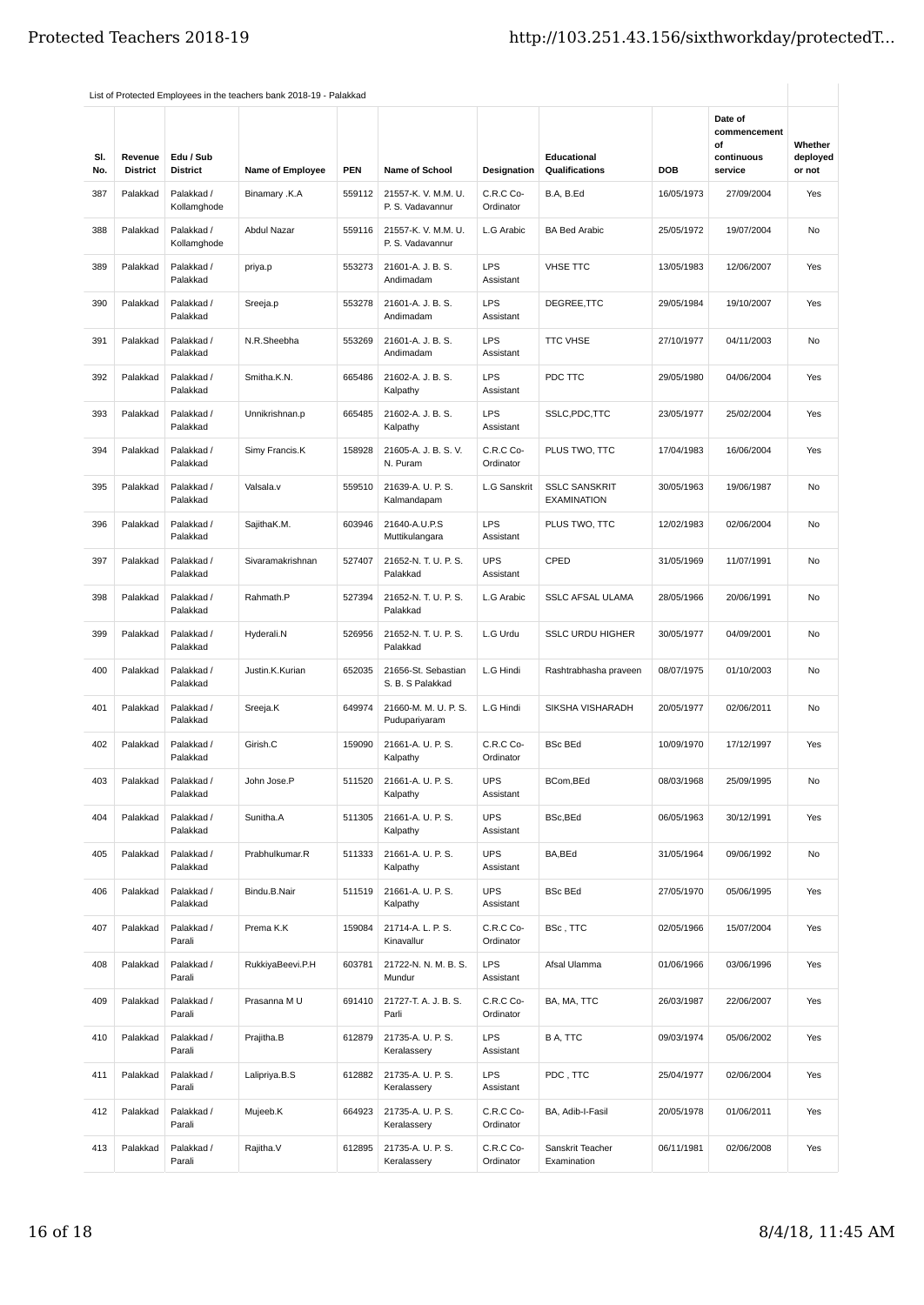| SI.<br>No. | Revenue<br><b>District</b> | Edu / Sub<br><b>District</b> | <b>Name of Employee</b> | <b>PEN</b> | <b>Name of School</b>                   | Designation             | <b>Educational</b><br>Qualifications       | DOB        | Date of<br>commencement<br>οf<br>continuous<br>service | Whether<br>deployed<br>or not |
|------------|----------------------------|------------------------------|-------------------------|------------|-----------------------------------------|-------------------------|--------------------------------------------|------------|--------------------------------------------------------|-------------------------------|
| 387        | Palakkad                   | Palakkad /<br>Kollamghode    | <b>Binamary .K.A</b>    | 559112     | 21557-K. V. M.M. U.<br>P. S. Vadavannur | C.R.C Co-<br>Ordinator  | B.A, B.Ed                                  | 16/05/1973 | 27/09/2004                                             | Yes                           |
| 388        | Palakkad                   | Palakkad /<br>Kollamghode    | Abdul Nazar             | 559116     | 21557-K. V. M.M. U.<br>P. S. Vadavannur | L.G Arabic              | <b>BA Bed Arabic</b>                       | 25/05/1972 | 19/07/2004                                             | No                            |
| 389        | Palakkad                   | Palakkad /<br>Palakkad       | priya.p                 | 553273     | 21601-A. J. B. S.<br>Andimadam          | <b>LPS</b><br>Assistant | <b>VHSE TTC</b>                            | 13/05/1983 | 12/06/2007                                             | Yes                           |
| 390        | Palakkad                   | Palakkad /<br>Palakkad       | Sreeja.p                | 553278     | 21601-A. J. B. S.<br>Andimadam          | <b>LPS</b><br>Assistant | DEGREE, TTC                                | 29/05/1984 | 19/10/2007                                             | Yes                           |
| 391        | Palakkad                   | Palakkad /<br>Palakkad       | N.R.Sheebha             | 553269     | 21601-A. J. B. S.<br>Andimadam          | <b>LPS</b><br>Assistant | <b>TTC VHSE</b>                            | 27/10/1977 | 04/11/2003                                             | No                            |
| 392        | Palakkad                   | Palakkad /<br>Palakkad       | Smitha.K.N.             | 665486     | 21602-A. J. B. S.<br>Kalpathy           | <b>LPS</b><br>Assistant | PDC TTC                                    | 29/05/1980 | 04/06/2004                                             | Yes                           |
| 393        | Palakkad                   | Palakkad /<br>Palakkad       | Unnikrishnan.p          | 665485     | 21602-A. J. B. S.<br>Kalpathy           | <b>LPS</b><br>Assistant | SSLC, PDC, TTC                             | 23/05/1977 | 25/02/2004                                             | Yes                           |
| 394        | Palakkad                   | Palakkad /<br>Palakkad       | Simy Francis.K          | 158928     | 21605-A. J. B. S. V.<br>N. Puram        | C.R.C Co-<br>Ordinator  | PLUS TWO, TTC                              | 17/04/1983 | 16/06/2004                                             | Yes                           |
| 395        | Palakkad                   | Palakkad /<br>Palakkad       | Valsala.v               | 559510     | 21639-A. U. P. S.<br>Kalmandapam        | <b>L.G Sanskrit</b>     | <b>SSLC SANSKRIT</b><br><b>EXAMINATION</b> | 30/05/1963 | 19/06/1987                                             | No                            |
| 396        | Palakkad                   | Palakkad /<br>Palakkad       | SajithaK.M.             | 603946     | 21640-A.U.P.S<br>Muttikulangara         | <b>LPS</b><br>Assistant | PLUS TWO, TTC                              | 12/02/1983 | 02/06/2004                                             | No                            |
| 397        | Palakkad                   | Palakkad /<br>Palakkad       | Sivaramakrishnan        | 527407     | 21652-N. T. U. P. S.<br>Palakkad        | <b>UPS</b><br>Assistant | CPED                                       | 31/05/1969 | 11/07/1991                                             | No                            |
| 398        | Palakkad                   | Palakkad /<br>Palakkad       | Rahmath.P               | 527394     | 21652-N. T. U. P. S.<br>Palakkad        | L.G Arabic              | SSLC AFSAL ULAMA                           | 28/05/1966 | 20/06/1991                                             | No                            |
| 399        | Palakkad                   | Palakkad /<br>Palakkad       | Hyderali.N              | 526956     | 21652-N. T. U. P. S.<br>Palakkad        | L.G Urdu                | <b>SSLC URDU HIGHER</b>                    | 30/05/1977 | 04/09/2001                                             | <b>No</b>                     |
| 400        | Palakkad                   | Palakkad /<br>Palakkad       | Justin.K.Kurian         | 652035     | 21656-St. Sebastian<br>S. B. S Palakkad | L.G Hindi               | Rashtrabhasha praveen                      | 08/07/1975 | 01/10/2003                                             | No                            |
| 401        | Palakkad                   | Palakkad /<br>Palakkad       | Sreeja.K                | 649974     | 21660-M. M. U. P. S.<br>Pudupariyaram   | L.G Hindi               | SIKSHA VISHARADH                           | 20/05/1977 | 02/06/2011                                             | No                            |
| 402        | Palakkad                   | Palakkad /<br>Palakkad       | Girish.C                | 159090     | 21661-A. U. P. S.<br>Kalpathy           | C.R.C Co-<br>Ordinator  | <b>BSc BEd</b>                             | 10/09/1970 | 17/12/1997                                             | Yes                           |
| 403        | Palakkad                   | Palakkad /<br>Palakkad       | John Jose.P             | 511520     | 21661-A. U. P. S.<br>Kalpathy           | <b>UPS</b><br>Assistant | BCom, BEd                                  | 08/03/1968 | 25/09/1995                                             | No                            |
| 404        | Palakkad                   | Palakkad /<br>Palakkad       | Sunitha.A               | 511305     | 21661-A. U. P. S.<br>Kalpathy           | <b>UPS</b><br>Assistant | BSc, BEd                                   | 06/05/1963 | 30/12/1991                                             | Yes                           |
| 405        | Palakkad                   | Palakkad /<br>Palakkad       | Prabhulkumar.R          | 511333     | 21661-A. U. P. S.<br>Kalpathy           | <b>UPS</b><br>Assistant | BA, BEd                                    | 31/05/1964 | 09/06/1992                                             | No                            |
| 406        | Palakkad                   | Palakkad /<br>Palakkad       | Bindu.B.Nair            | 511519     | 21661-A. U. P. S.<br>Kalpathy           | <b>UPS</b><br>Assistant | <b>BSc BEd</b>                             | 27/05/1970 | 05/06/1995                                             | Yes                           |
| 407        | Palakkad                   | Palakkad /<br>Parali         | Prema K.K               | 159084     | 21714-A. L. P. S.<br>Kinavallur         | C.R.C Co-<br>Ordinator  | BSc, TTC                                   | 02/05/1966 | 15/07/2004                                             | Yes                           |
| 408        | Palakkad                   | Palakkad /<br>Parali         | RukkiyaBeevi.P.H        | 603781     | 21722-N. N. M. B. S.<br>Mundur          | <b>LPS</b><br>Assistant | Afsal Ulamma                               | 01/06/1966 | 03/06/1996                                             | Yes                           |
| 409        | Palakkad                   | Palakkad /<br>Parali         | Prasanna M U            | 691410     | 21727-T. A. J. B. S.<br>Parli           | C.R.C Co-<br>Ordinator  | BA, MA, TTC                                | 26/03/1987 | 22/06/2007                                             | Yes                           |
| 410        | Palakkad                   | Palakkad /<br>Parali         | Prajitha.B              | 612879     | 21735-A. U. P. S.<br>Keralassery        | LPS<br>Assistant        | B A, TTC                                   | 09/03/1974 | 05/06/2002                                             | Yes                           |
| 411        | Palakkad                   | Palakkad /<br>Parali         | Lalipriya.B.S           | 612882     | 21735-A. U. P. S.<br>Keralassery        | <b>LPS</b><br>Assistant | PDC, TTC                                   | 25/04/1977 | 02/06/2004                                             | Yes                           |
| 412        | Palakkad                   | Palakkad /<br>Parali         | Mujeeb.K                | 664923     | 21735-A. U. P. S.<br>Keralassery        | C.R.C Co-<br>Ordinator  | BA, Adib-I-Fasil                           | 20/05/1978 | 01/06/2011                                             | Yes                           |
| 413        | Palakkad                   | Palakkad /<br>Parali         | Rajitha.V               | 612895     | 21735-A. U. P. S.<br>Keralassery        | C.R.C Co-<br>Ordinator  | Sanskrit Teacher<br>Examination            | 06/11/1981 | 02/06/2008                                             | Yes                           |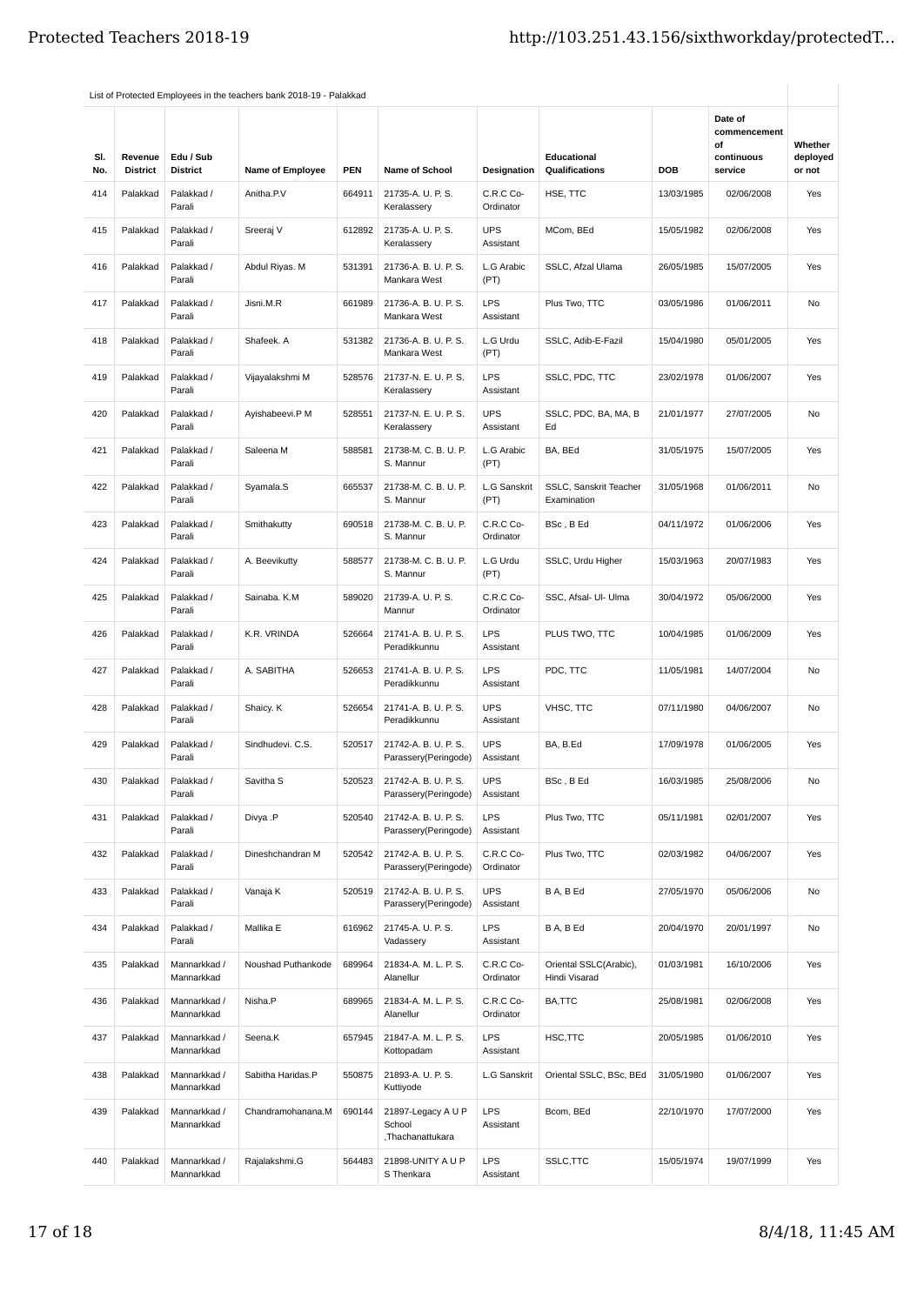| SI.<br>No. | Revenue<br><b>District</b> | Edu / Sub<br><b>District</b> | <b>Name of Employee</b> | <b>PEN</b> | <b>Name of School</b>                            | Designation             | Educational<br>Qualifications           | <b>DOB</b> | Date of<br>commencement<br>οf<br>continuous<br>service | Whether<br>deployed<br>or not |
|------------|----------------------------|------------------------------|-------------------------|------------|--------------------------------------------------|-------------------------|-----------------------------------------|------------|--------------------------------------------------------|-------------------------------|
| 414        | Palakkad                   | Palakkad /<br>Parali         | Anitha.P.V              | 664911     | 21735-A. U. P. S.<br>Keralassery                 | C.R.C Co-<br>Ordinator  | HSE, TTC                                | 13/03/1985 | 02/06/2008                                             | Yes                           |
| 415        | Palakkad                   | Palakkad /<br>Parali         | Sreeraj V               | 612892     | 21735-A. U. P. S.<br>Keralassery                 | <b>UPS</b><br>Assistant | MCom, BEd                               | 15/05/1982 | 02/06/2008                                             | Yes                           |
| 416        | Palakkad                   | Palakkad /<br>Parali         | Abdul Riyas. M          | 531391     | 21736-A. B. U. P. S.<br>Mankara West             | L.G Arabic<br>(PT)      | SSLC, Afzal Ulama                       | 26/05/1985 | 15/07/2005                                             | Yes                           |
| 417        | Palakkad                   | Palakkad /<br>Parali         | Jisni.M.R               | 661989     | 21736-A. B. U. P. S.<br>Mankara West             | <b>LPS</b><br>Assistant | Plus Two, TTC                           | 03/05/1986 | 01/06/2011                                             | No                            |
| 418        | Palakkad                   | Palakkad /<br>Parali         | Shafeek. A              | 531382     | 21736-A. B. U. P. S.<br>Mankara West             | L.G Urdu<br>(PT)        | SSLC, Adib-E-Fazil                      | 15/04/1980 | 05/01/2005                                             | Yes                           |
| 419        | Palakkad                   | Palakkad /<br>Parali         | Vijayalakshmi M         | 528576     | 21737-N. E. U. P. S.<br>Keralassery              | <b>LPS</b><br>Assistant | SSLC, PDC, TTC                          | 23/02/1978 | 01/06/2007                                             | Yes                           |
| 420        | Palakkad                   | Palakkad /<br>Parali         | Ayishabeevi.P M         | 528551     | 21737-N. E. U. P. S.<br>Keralassery              | <b>UPS</b><br>Assistant | SSLC, PDC, BA, MA, B<br>Ed              | 21/01/1977 | 27/07/2005                                             | No                            |
| 421        | Palakkad                   | Palakkad /<br>Parali         | Saleena M               | 588581     | 21738-M. C. B. U. P.<br>S. Mannur                | L.G Arabic<br>(PT)      | BA, BEd                                 | 31/05/1975 | 15/07/2005                                             | Yes                           |
| 422        | Palakkad                   | Palakkad /<br>Parali         | Syamala.S               | 665537     | 21738-M. C. B. U. P.<br>S. Mannur                | L.G Sanskrit<br>(PT)    | SSLC, Sanskrit Teacher<br>Examination   | 31/05/1968 | 01/06/2011                                             | No                            |
| 423        | Palakkad                   | Palakkad /<br>Parali         | Smithakutty             | 690518     | 21738-M. C. B. U. P.<br>S. Mannur                | C.R.C Co-<br>Ordinator  | BSc, BEd                                | 04/11/1972 | 01/06/2006                                             | Yes                           |
| 424        | Palakkad                   | Palakkad /<br>Parali         | A. Beevikutty           | 588577     | 21738-M. C. B. U. P.<br>S. Mannur                | L.G Urdu<br>(PT)        | SSLC, Urdu Higher                       | 15/03/1963 | 20/07/1983                                             | Yes                           |
| 425        | Palakkad                   | Palakkad /<br>Parali         | Sainaba. K.M            | 589020     | 21739-A. U. P. S.<br>Mannur                      | C.R.C Co-<br>Ordinator  | SSC, Afsal- Ul- Ulma                    | 30/04/1972 | 05/06/2000                                             | Yes                           |
| 426        | Palakkad                   | Palakkad /<br>Parali         | K.R. VRINDA             | 526664     | 21741-A. B. U. P. S.<br>Peradikkunnu             | <b>LPS</b><br>Assistant | PLUS TWO, TTC                           | 10/04/1985 | 01/06/2009                                             | Yes                           |
| 427        | Palakkad                   | Palakkad /<br>Parali         | A. SABITHA              | 526653     | 21741-A. B. U. P. S.<br>Peradikkunnu             | <b>LPS</b><br>Assistant | PDC, TTC                                | 11/05/1981 | 14/07/2004                                             | No                            |
| 428        | Palakkad                   | Palakkad /<br>Parali         | Shaicy. K               | 526654     | 21741-A. B. U. P. S.<br>Peradikkunnu             | <b>UPS</b><br>Assistant | VHSC, TTC                               | 07/11/1980 | 04/06/2007                                             | No                            |
| 429        | Palakkad                   | Palakkad /<br>Parali         | Sindhudevi. C.S.        | 520517     | 21742-A. B. U. P. S.<br>Parassery(Peringode)     | <b>UPS</b><br>Assistant | BA, B.Ed                                | 17/09/1978 | 01/06/2005                                             | Yes                           |
| 430        | Palakkad                   | Palakkad /<br>Parali         | Savitha S               | 520523     | 21742-A. B. U. P. S.<br>Parassery(Peringode)     | <b>UPS</b><br>Assistant | BSc, B Ed                               | 16/03/1985 | 25/08/2006                                             | No                            |
| 431        | Palakkad                   | Palakkad /<br>Parali         | Divya .P                | 520540     | 21742-A. B. U. P. S.<br>Parassery(Peringode)     | <b>LPS</b><br>Assistant | Plus Two, TTC                           | 05/11/1981 | 02/01/2007                                             | Yes                           |
| 432        | Palakkad                   | Palakkad /<br>Parali         | Dineshchandran M        | 520542     | 21742-A. B. U. P. S.<br>Parassery(Peringode)     | C.R.C Co-<br>Ordinator  | Plus Two, TTC                           | 02/03/1982 | 04/06/2007                                             | Yes                           |
| 433        | Palakkad                   | Palakkad /<br>Parali         | Vanaja K                | 520519     | 21742-A. B. U. P. S.<br>Parassery(Peringode)     | <b>UPS</b><br>Assistant | B A, B Ed                               | 27/05/1970 | 05/06/2006                                             | No                            |
| 434        | Palakkad                   | Palakkad /<br>Parali         | Mallika E               | 616962     | 21745-A. U. P. S.<br>Vadassery                   | <b>LPS</b><br>Assistant | B A, B Ed                               | 20/04/1970 | 20/01/1997                                             | No                            |
| 435        | Palakkad                   | Mannarkkad /<br>Mannarkkad   | Noushad Puthankode      | 689964     | 21834-A. M. L. P. S.<br>Alanellur                | C.R.C Co-<br>Ordinator  | Oriental SSLC(Arabic),<br>Hindi Visarad | 01/03/1981 | 16/10/2006                                             | Yes                           |
| 436        | Palakkad                   | Mannarkkad /<br>Mannarkkad   | Nisha.P                 | 689965     | 21834-A. M. L. P. S.<br>Alanellur                | C.R.C Co-<br>Ordinator  | BA,TTC                                  | 25/08/1981 | 02/06/2008                                             | Yes                           |
| 437        | Palakkad                   | Mannarkkad /<br>Mannarkkad   | Seena.K                 | 657945     | 21847-A. M. L. P. S.<br>Kottopadam               | LPS<br>Assistant        | HSC,TTC                                 | 20/05/1985 | 01/06/2010                                             | Yes                           |
| 438        | Palakkad                   | Mannarkkad /<br>Mannarkkad   | Sabitha Haridas.P       | 550875     | 21893-A. U. P. S.<br>Kuttiyode                   | L.G Sanskrit            | Oriental SSLC, BSc, BEd                 | 31/05/1980 | 01/06/2007                                             | Yes                           |
| 439        | Palakkad                   | Mannarkkad /<br>Mannarkkad   | Chandramohanana.M       | 690144     | 21897-Legacy A U P<br>School<br>,Thachanattukara | LPS<br>Assistant        | Bcom, BEd                               | 22/10/1970 | 17/07/2000                                             | Yes                           |
| 440        | Palakkad                   | Mannarkkad /<br>Mannarkkad   | Rajalakshmi.G           | 564483     | 21898-UNITY A U P<br>S Thenkara                  | LPS<br>Assistant        | SSLC, TTC                               | 15/05/1974 | 19/07/1999                                             | Yes                           |